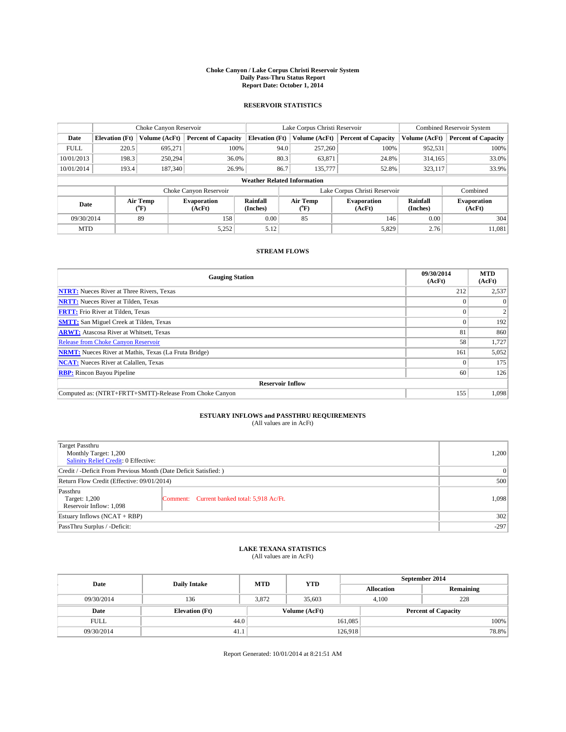#### **Choke Canyon / Lake Corpus Christi Reservoir System Daily Pass-Thru Status Report Report Date: October 1, 2014**

### **RESERVOIR STATISTICS**

|             |                       | Choke Canyon Reservoir |                              |                                    | Lake Corpus Christi Reservoir | <b>Combined Reservoir System</b> |                      |                              |
|-------------|-----------------------|------------------------|------------------------------|------------------------------------|-------------------------------|----------------------------------|----------------------|------------------------------|
| Date        | <b>Elevation</b> (Ft) | Volume (AcFt)          | <b>Percent of Capacity</b>   | <b>Elevation (Ft)</b>              | Volume (AcFt)                 | <b>Percent of Capacity</b>       | Volume (AcFt)        | <b>Percent of Capacity</b>   |
| <b>FULL</b> | 220.5                 | 695,271                | 100%                         | 94.0                               | 257,260                       | 100%                             | 952,531              | 100%                         |
| 10/01/2013  | 198.3                 | 250,294                | 36.0%                        | 80.3                               | 63,871                        | 24.8%                            | 314,165              | 33.0%                        |
| 10/01/2014  | 193.4                 | 187,340                | 26.9%                        | 86.7                               | 135,777                       | 52.8%                            | 323,117              | 33.9%                        |
|             |                       |                        |                              | <b>Weather Related Information</b> |                               |                                  |                      |                              |
|             |                       |                        | Choke Canyon Reservoir       |                                    |                               | Lake Corpus Christi Reservoir    |                      | Combined                     |
| Date        |                       | Air Temp<br>(°F)       | <b>Evaporation</b><br>(AcFt) | Rainfall<br>(Inches)               | Air Temp<br>(°F)              | <b>Evaporation</b><br>(AcFt)     | Rainfall<br>(Inches) | <b>Evaporation</b><br>(AcFt) |
| 09/30/2014  |                       | 89                     | 158                          | 0.00                               | 85                            | 146                              | 0.00                 | 304                          |
| <b>MTD</b>  |                       |                        | 5,252                        | 5.12                               |                               | 5,829                            | 2.76                 | 11,081                       |

### **STREAM FLOWS**

| <b>Gauging Station</b>                                       | 09/30/2014<br>(AcFt) | <b>MTD</b><br>(AcFt) |  |  |  |
|--------------------------------------------------------------|----------------------|----------------------|--|--|--|
| <b>NTRT:</b> Nueces River at Three Rivers, Texas             | 212                  | 2,537                |  |  |  |
| <b>NRTT:</b> Nueces River at Tilden, Texas                   |                      | $\Omega$             |  |  |  |
| <b>FRTT:</b> Frio River at Tilden, Texas                     |                      | 2                    |  |  |  |
| <b>SMTT:</b> San Miguel Creek at Tilden, Texas               |                      | 192                  |  |  |  |
| <b>ARWT:</b> Atascosa River at Whitsett, Texas               | 81                   | 860                  |  |  |  |
| <b>Release from Choke Canyon Reservoir</b>                   | 58                   | 1,727                |  |  |  |
| <b>NRMT:</b> Nueces River at Mathis, Texas (La Fruta Bridge) | 161                  | 5,052                |  |  |  |
| <b>NCAT:</b> Nueces River at Calallen, Texas                 |                      | 175                  |  |  |  |
| <b>RBP:</b> Rincon Bayou Pipeline                            | 60                   | 126                  |  |  |  |
| <b>Reservoir Inflow</b>                                      |                      |                      |  |  |  |
| Computed as: (NTRT+FRTT+SMTT)-Release From Choke Canyon      | 155                  | 1,098                |  |  |  |

# **ESTUARY INFLOWS and PASSTHRU REQUIREMENTS**<br>(All values are in AcFt)

| Target Passthru<br>Monthly Target: 1,200<br>Salinity Relief Credit: 0 Effective: |                                             | 1,200 |
|----------------------------------------------------------------------------------|---------------------------------------------|-------|
| Credit / -Deficit From Previous Month (Date Deficit Satisfied: )                 | 0                                           |       |
| Return Flow Credit (Effective: 09/01/2014)                                       | 500                                         |       |
| Passthru<br>Target: 1,200<br>Reservoir Inflow: 1,098                             | Comment: Current banked total: 5,918 Ac/Ft. | 1,098 |
| Estuary Inflows (NCAT + RBP)                                                     | 302                                         |       |
| PassThru Surplus / -Deficit:                                                     | $-297$                                      |       |

## **LAKE TEXANA STATISTICS** (All values are in AcFt)

| Date        | <b>Daily Intake</b>   | <b>MTD</b> | <b>YTD</b>    | September 2014    |                            |           |  |
|-------------|-----------------------|------------|---------------|-------------------|----------------------------|-----------|--|
|             |                       |            |               | <b>Allocation</b> |                            | Remaining |  |
| 09/30/2014  | 136                   | 3.872      | 35,603        |                   | 228<br>4.100               |           |  |
| Date        | <b>Elevation</b> (Ft) |            | Volume (AcFt) |                   | <b>Percent of Capacity</b> |           |  |
| <b>FULL</b> | 44.0                  |            |               | 161,085           |                            | 100%      |  |
| 09/30/2014  | 41.1                  |            |               | 126.918           |                            | 78.8%     |  |

Report Generated: 10/01/2014 at 8:21:51 AM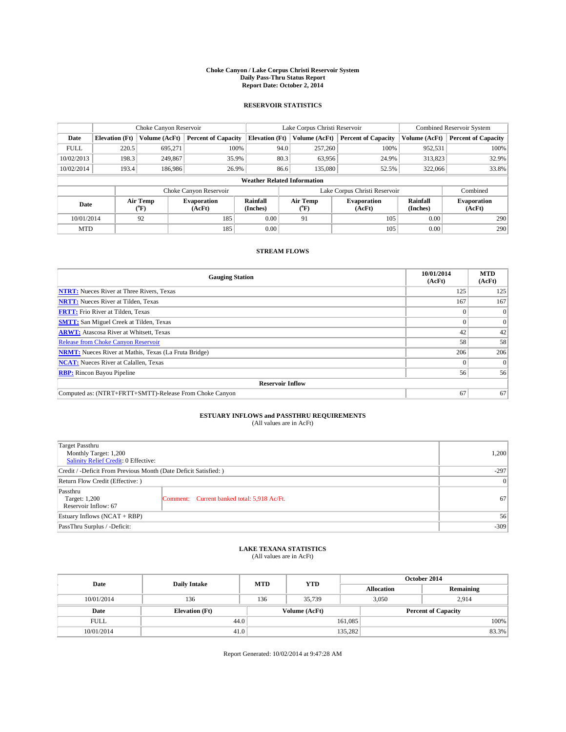#### **Choke Canyon / Lake Corpus Christi Reservoir System Daily Pass-Thru Status Report Report Date: October 2, 2014**

### **RESERVOIR STATISTICS**

|             | Choke Canyon Reservoir |                  |                              |                                    | Lake Corpus Christi Reservoir |                  |                               |                      | <b>Combined Reservoir System</b> |  |  |
|-------------|------------------------|------------------|------------------------------|------------------------------------|-------------------------------|------------------|-------------------------------|----------------------|----------------------------------|--|--|
| Date        | <b>Elevation</b> (Ft)  | Volume (AcFt)    | <b>Percent of Capacity</b>   | <b>Elevation (Ft)</b>              |                               | Volume (AcFt)    | <b>Percent of Capacity</b>    | Volume (AcFt)        | Percent of Capacity              |  |  |
| <b>FULL</b> | 220.5                  | 695,271          | 100%                         |                                    | 94.0                          | 257,260          | 100%                          | 952,531              | 100%                             |  |  |
| 10/02/2013  | 198.3                  | 249,867          | 35.9%                        |                                    | 80.3                          | 63,956           | 24.9%                         | 313,823              | 32.9%                            |  |  |
| 10/02/2014  | 193.4                  | 186,986          | 26.9%                        |                                    | 86.6                          | 135,080          | 52.5%                         | 322,066              | 33.8%                            |  |  |
|             |                        |                  |                              | <b>Weather Related Information</b> |                               |                  |                               |                      |                                  |  |  |
|             |                        |                  | Choke Canyon Reservoir       |                                    |                               |                  | Lake Corpus Christi Reservoir |                      | Combined                         |  |  |
| Date        |                        | Air Temp<br>(°F) | <b>Evaporation</b><br>(AcFt) | Rainfall<br>(Inches)               |                               | Air Temp<br>(°F) | <b>Evaporation</b><br>(AcFt)  | Rainfall<br>(Inches) | <b>Evaporation</b><br>(AcFt)     |  |  |
| 10/01/2014  |                        | 92               | 185                          | 0.00                               |                               | 91               | 105                           | 0.00                 | 290                              |  |  |
| <b>MTD</b>  |                        |                  | 185                          | 0.00                               |                               |                  | 105                           | 0.00                 | 290                              |  |  |

### **STREAM FLOWS**

| <b>Gauging Station</b>                                       | 10/01/2014<br>(AcFt) | <b>MTD</b><br>(AcFt) |  |  |  |  |
|--------------------------------------------------------------|----------------------|----------------------|--|--|--|--|
| <b>NTRT:</b> Nueces River at Three Rivers, Texas             | 125                  | 125                  |  |  |  |  |
| <b>NRTT:</b> Nueces River at Tilden, Texas                   | 167                  | 167                  |  |  |  |  |
| <b>FRTT:</b> Frio River at Tilden, Texas                     |                      | $\overline{0}$       |  |  |  |  |
| <b>SMTT:</b> San Miguel Creek at Tilden, Texas               |                      | $\Omega$             |  |  |  |  |
| <b>ARWT:</b> Atascosa River at Whitsett, Texas               | 42                   | 42                   |  |  |  |  |
| <b>Release from Choke Canyon Reservoir</b>                   | 58                   | 58                   |  |  |  |  |
| <b>NRMT:</b> Nueces River at Mathis, Texas (La Fruta Bridge) | 206                  | 206                  |  |  |  |  |
| <b>NCAT:</b> Nueces River at Calallen, Texas                 |                      | $\Omega$             |  |  |  |  |
| <b>RBP:</b> Rincon Bayou Pipeline                            | 56                   | 56                   |  |  |  |  |
| <b>Reservoir Inflow</b>                                      |                      |                      |  |  |  |  |
| Computed as: (NTRT+FRTT+SMTT)-Release From Choke Canyon      | 67                   | 67                   |  |  |  |  |

# **ESTUARY INFLOWS and PASSTHRU REQUIREMENTS**<br>(All values are in AcFt)

| Target Passthru<br>Monthly Target: 1,200<br>Salinity Relief Credit: 0 Effective: |                                             | 1,200 |  |  |
|----------------------------------------------------------------------------------|---------------------------------------------|-------|--|--|
| Credit / -Deficit From Previous Month (Date Deficit Satisfied: )                 |                                             |       |  |  |
| Return Flow Credit (Effective: )                                                 | 0                                           |       |  |  |
| Passthru<br>Target: 1,200<br>Reservoir Inflow: 67                                | Comment: Current banked total: 5,918 Ac/Ft. | 67    |  |  |
| Estuary Inflows (NCAT + RBP)                                                     | 56                                          |       |  |  |
| PassThru Surplus / -Deficit:                                                     | $-309$                                      |       |  |  |

## **LAKE TEXANA STATISTICS** (All values are in AcFt)

| Date        | <b>Daily Intake</b>   | <b>MTD</b> | <b>YTD</b>    | October 2014               |                   |           |  |
|-------------|-----------------------|------------|---------------|----------------------------|-------------------|-----------|--|
|             |                       |            |               |                            | <b>Allocation</b> | Remaining |  |
| 10/01/2014  | 136                   | 136        | 35.739        |                            | 3,050<br>2.914    |           |  |
| Date        | <b>Elevation</b> (Ft) |            | Volume (AcFt) | <b>Percent of Capacity</b> |                   |           |  |
| <b>FULL</b> | 44.0                  |            |               | 161,085                    |                   | 100%      |  |
| 10/01/2014  | 41.0                  |            |               | 135,282                    |                   | 83.3%     |  |

Report Generated: 10/02/2014 at 9:47:28 AM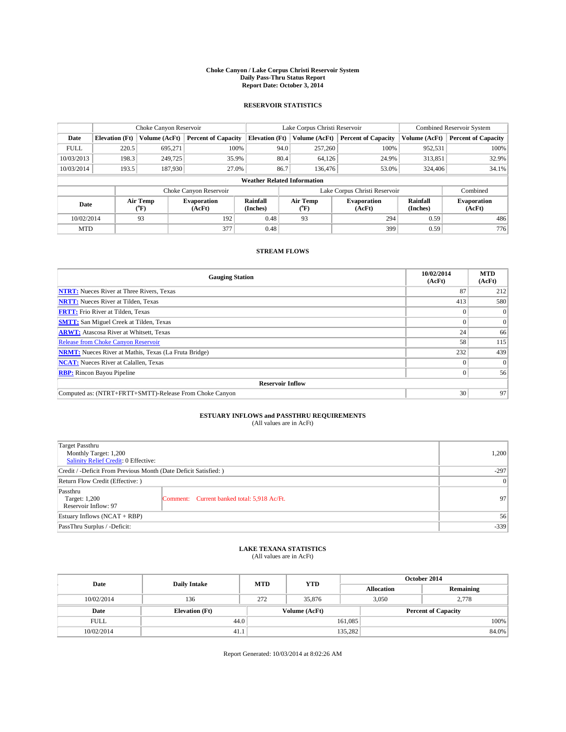#### **Choke Canyon / Lake Corpus Christi Reservoir System Daily Pass-Thru Status Report Report Date: October 3, 2014**

### **RESERVOIR STATISTICS**

|             | Choke Canyon Reservoir             |                  |                              |                       | Lake Corpus Christi Reservoir | Combined Reservoir System     |                      |                              |  |
|-------------|------------------------------------|------------------|------------------------------|-----------------------|-------------------------------|-------------------------------|----------------------|------------------------------|--|
| Date        | <b>Elevation</b> (Ft)              | Volume (AcFt)    | <b>Percent of Capacity</b>   | <b>Elevation (Ft)</b> | Volume (AcFt)                 | <b>Percent of Capacity</b>    | Volume (AcFt)        | <b>Percent of Capacity</b>   |  |
| <b>FULL</b> | 220.5                              | 695.271          | 100%                         | 94.0                  | 257,260                       | 100%                          | 952,531              | 100%                         |  |
| 10/03/2013  | 198.3                              | 249,725          | 35.9%                        | 80.4                  | 64,126                        | 24.9%                         | 313,851              | 32.9%                        |  |
| 10/03/2014  | 193.5                              | 187,930          | 27.0%                        | 86.7                  | 136,476                       | 53.0%                         | 324,406              | 34.1%                        |  |
|             | <b>Weather Related Information</b> |                  |                              |                       |                               |                               |                      |                              |  |
|             |                                    |                  | Choke Canyon Reservoir       |                       |                               | Lake Corpus Christi Reservoir |                      | Combined                     |  |
| Date        |                                    | Air Temp<br>(°F) | <b>Evaporation</b><br>(AcFt) | Rainfall<br>(Inches)  | Air Temp<br>$(^oF)$           | Evaporation<br>(AcFt)         | Rainfall<br>(Inches) | <b>Evaporation</b><br>(AcFt) |  |
| 10/02/2014  |                                    | 93               | 192                          | 0.48                  | 93                            | 294                           | 0.59                 | 486                          |  |
| <b>MTD</b>  |                                    |                  | 377                          | 0.48                  |                               | 399                           | 0.59                 | 776                          |  |

### **STREAM FLOWS**

| <b>Gauging Station</b>                                       | 10/02/2014<br>(AcFt) | <b>MTD</b><br>(AcFt) |  |  |  |  |
|--------------------------------------------------------------|----------------------|----------------------|--|--|--|--|
| <b>NTRT:</b> Nueces River at Three Rivers, Texas             | 87                   | 212                  |  |  |  |  |
| <b>NRTT:</b> Nueces River at Tilden, Texas                   | 413                  | 580                  |  |  |  |  |
| <b>FRTT:</b> Frio River at Tilden, Texas                     |                      | $\overline{0}$       |  |  |  |  |
| <b>SMTT:</b> San Miguel Creek at Tilden, Texas               |                      | $\overline{0}$       |  |  |  |  |
| <b>ARWT:</b> Atascosa River at Whitsett, Texas               | 24                   | 66                   |  |  |  |  |
| Release from Choke Canyon Reservoir                          | 58                   | 115                  |  |  |  |  |
| <b>NRMT:</b> Nueces River at Mathis, Texas (La Fruta Bridge) | 232                  | 439                  |  |  |  |  |
| <b>NCAT:</b> Nueces River at Calallen, Texas                 |                      | $\Omega$             |  |  |  |  |
| <b>RBP:</b> Rincon Bayou Pipeline                            | 0                    | 56                   |  |  |  |  |
| <b>Reservoir Inflow</b>                                      |                      |                      |  |  |  |  |
| Computed as: (NTRT+FRTT+SMTT)-Release From Choke Canyon      | 30                   | 97                   |  |  |  |  |

# **ESTUARY INFLOWS and PASSTHRU REQUIREMENTS**<br>(All values are in AcFt)

| Target Passthru<br>Monthly Target: 1,200<br>Salinity Relief Credit: 0 Effective: |                                             | 1,200 |  |  |
|----------------------------------------------------------------------------------|---------------------------------------------|-------|--|--|
| Credit / -Deficit From Previous Month (Date Deficit Satisfied: )                 |                                             |       |  |  |
| Return Flow Credit (Effective: )                                                 |                                             |       |  |  |
| Passthru<br>Target: 1,200<br>Reservoir Inflow: 97                                | Comment: Current banked total: 5,918 Ac/Ft. | 97    |  |  |
| Estuary Inflows (NCAT + RBP)                                                     | 56                                          |       |  |  |
| PassThru Surplus / -Deficit:                                                     | $-339$                                      |       |  |  |

## **LAKE TEXANA STATISTICS** (All values are in AcFt)

| Date        | <b>Daily Intake</b>   | <b>MTD</b>    | <b>YTD</b> | October 2014      |                            |           |  |
|-------------|-----------------------|---------------|------------|-------------------|----------------------------|-----------|--|
|             |                       |               |            | <b>Allocation</b> |                            | Remaining |  |
| 10/02/2014  | 136                   | 272           | 35,876     | 3,050             |                            | 2,778     |  |
| Date        | <b>Elevation</b> (Ft) | Volume (AcFt) |            |                   | <b>Percent of Capacity</b> |           |  |
| <b>FULL</b> | 44.0                  |               |            | 161,085           |                            | 100%      |  |
| 10/02/2014  | 41.1                  |               |            | 135,282           |                            | 84.0%     |  |

Report Generated: 10/03/2014 at 8:02:26 AM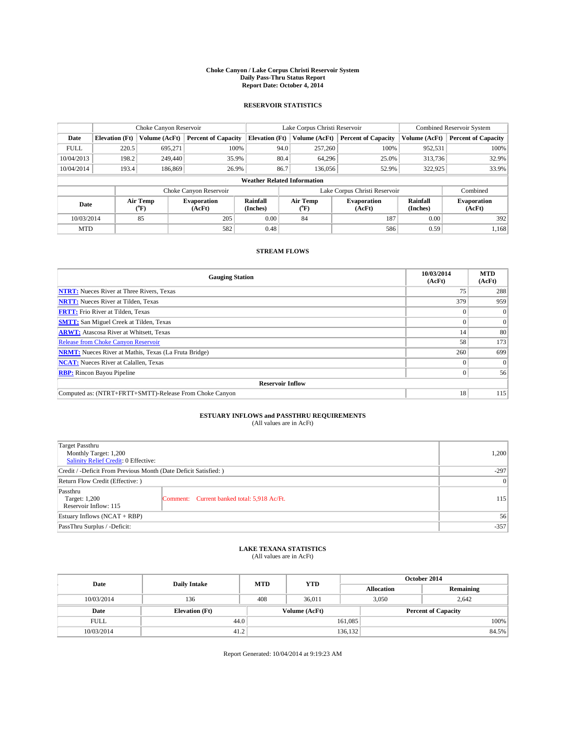#### **Choke Canyon / Lake Corpus Christi Reservoir System Daily Pass-Thru Status Report Report Date: October 4, 2014**

### **RESERVOIR STATISTICS**

|             | Choke Canyon Reservoir |                  |                              |                                    | Lake Corpus Christi Reservoir | Combined Reservoir System    |                      |                              |
|-------------|------------------------|------------------|------------------------------|------------------------------------|-------------------------------|------------------------------|----------------------|------------------------------|
| Date        | <b>Elevation</b> (Ft)  | Volume (AcFt)    | <b>Percent of Capacity</b>   | <b>Elevation (Ft)</b>              | Volume (AcFt)                 | <b>Percent of Capacity</b>   | Volume (AcFt)        | <b>Percent of Capacity</b>   |
| <b>FULL</b> | 220.5                  | 695.271          | 100%                         | 94.0                               | 257,260                       | 100%                         | 952,531              | 100%                         |
| 10/04/2013  | 198.2                  | 249,440          | 35.9%                        | 80.4                               | 64,296                        | 25.0%                        | 313,736              | 32.9%                        |
| 10/04/2014  | 193.4                  | 186,869          | 26.9%                        | 86.7                               | 136,056                       | 52.9%                        | 322,925              | 33.9%                        |
|             |                        |                  |                              | <b>Weather Related Information</b> |                               |                              |                      |                              |
|             |                        |                  | Choke Canyon Reservoir       |                                    | Lake Corpus Christi Reservoir |                              | Combined             |                              |
| Date        |                        | Air Temp<br>(°F) | <b>Evaporation</b><br>(AcFt) | Rainfall<br>(Inches)               | Air Temp<br>(°F)              | <b>Evaporation</b><br>(AcFt) | Rainfall<br>(Inches) | <b>Evaporation</b><br>(AcFt) |
| 10/03/2014  |                        | 85               | 205                          | 0.00                               | 84                            | 187                          | 0.00                 | 392                          |
| <b>MTD</b>  |                        |                  | 582                          | 0.48                               |                               | 586                          | 0.59                 | 1,168                        |

### **STREAM FLOWS**

| <b>Gauging Station</b>                                       | 10/03/2014<br>(AcFt) | <b>MTD</b><br>(AcFt) |  |  |  |  |
|--------------------------------------------------------------|----------------------|----------------------|--|--|--|--|
| <b>NTRT:</b> Nueces River at Three Rivers, Texas             | 75                   | 288                  |  |  |  |  |
| <b>NRTT:</b> Nueces River at Tilden, Texas                   | 379                  | 959                  |  |  |  |  |
| <b>FRTT:</b> Frio River at Tilden, Texas                     |                      | $\theta$             |  |  |  |  |
| <b>SMTT:</b> San Miguel Creek at Tilden, Texas               |                      | $\Omega$             |  |  |  |  |
| <b>ARWT:</b> Atascosa River at Whitsett, Texas               | 14                   | 80                   |  |  |  |  |
| <b>Release from Choke Canyon Reservoir</b>                   | 58                   | 173                  |  |  |  |  |
| <b>NRMT:</b> Nueces River at Mathis, Texas (La Fruta Bridge) | 260                  | 699                  |  |  |  |  |
| <b>NCAT:</b> Nueces River at Calallen, Texas                 |                      | $\Omega$             |  |  |  |  |
| <b>RBP:</b> Rincon Bayou Pipeline                            | 0                    | 56                   |  |  |  |  |
| <b>Reservoir Inflow</b>                                      |                      |                      |  |  |  |  |
| Computed as: (NTRT+FRTT+SMTT)-Release From Choke Canyon      | 18                   | 115                  |  |  |  |  |

# **ESTUARY INFLOWS and PASSTHRU REQUIREMENTS**<br>(All values are in AcFt)

| Target Passthru<br>Monthly Target: 1,200<br>Salinity Relief Credit: 0 Effective: |                                             | 1,200 |  |  |  |
|----------------------------------------------------------------------------------|---------------------------------------------|-------|--|--|--|
| Credit / -Deficit From Previous Month (Date Deficit Satisfied: )                 |                                             |       |  |  |  |
| Return Flow Credit (Effective: )                                                 |                                             |       |  |  |  |
| Passthru<br>Target: 1,200<br>Reservoir Inflow: 115                               | Comment: Current banked total: 5,918 Ac/Ft. | 115   |  |  |  |
| Estuary Inflows (NCAT + RBP)                                                     | 56                                          |       |  |  |  |
| PassThru Surplus / -Deficit:                                                     |                                             |       |  |  |  |

## **LAKE TEXANA STATISTICS** (All values are in AcFt)

| Date        | <b>Daily Intake</b>   | <b>MTD</b> | <b>YTD</b>    | October 2014      |                |                            |  |
|-------------|-----------------------|------------|---------------|-------------------|----------------|----------------------------|--|
|             |                       |            |               | <b>Allocation</b> |                | Remaining                  |  |
| 10/03/2014  | 136                   | 408        | 36,011        |                   | 3,050<br>2.642 |                            |  |
| Date        | <b>Elevation</b> (Ft) |            | Volume (AcFt) |                   |                | <b>Percent of Capacity</b> |  |
| <b>FULL</b> | 44.0                  |            |               | 161,085           |                | 100%                       |  |
| 10/03/2014  | 41.2                  |            |               | 136,132           |                | 84.5%                      |  |

Report Generated: 10/04/2014 at 9:19:23 AM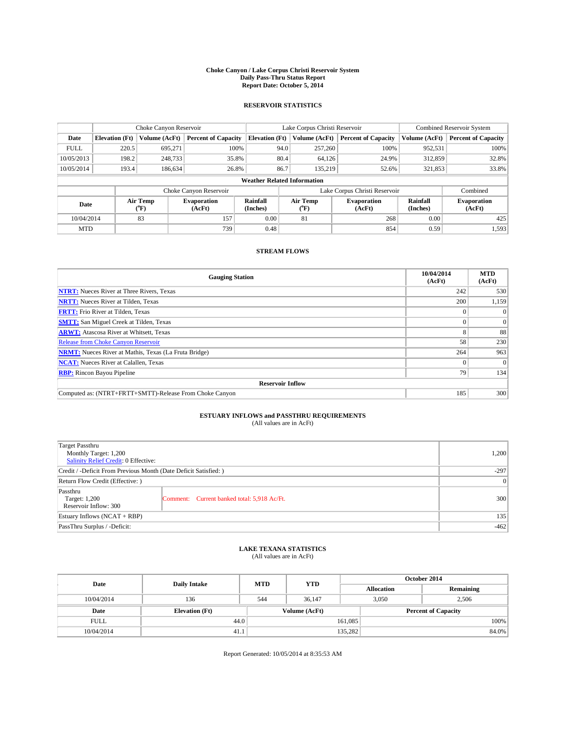#### **Choke Canyon / Lake Corpus Christi Reservoir System Daily Pass-Thru Status Report Report Date: October 5, 2014**

### **RESERVOIR STATISTICS**

|             | Choke Canyon Reservoir |                  |                              |                                    | Lake Corpus Christi Reservoir | Combined Reservoir System    |                      |                              |
|-------------|------------------------|------------------|------------------------------|------------------------------------|-------------------------------|------------------------------|----------------------|------------------------------|
| Date        | <b>Elevation</b> (Ft)  | Volume (AcFt)    | <b>Percent of Capacity</b>   | <b>Elevation (Ft)</b>              | Volume (AcFt)                 | <b>Percent of Capacity</b>   | Volume (AcFt)        | <b>Percent of Capacity</b>   |
| <b>FULL</b> | 220.5                  | 695.271          | 100%                         | 94.0                               | 257,260                       | 100%                         | 952,531              | 100%                         |
| 10/05/2013  | 198.2                  | 248,733          | 35.8%                        | 80.4                               | 64,126                        | 24.9%                        | 312,859              | 32.8%                        |
| 10/05/2014  | 193.4                  | 186,634          | 26.8%                        | 86.7                               | 135.219                       | 52.6%                        | 321,853              | 33.8%                        |
|             |                        |                  |                              | <b>Weather Related Information</b> |                               |                              |                      |                              |
|             |                        |                  | Choke Canyon Reservoir       |                                    | Lake Corpus Christi Reservoir |                              | Combined             |                              |
| Date        |                        | Air Temp<br>(°F) | <b>Evaporation</b><br>(AcFt) | Rainfall<br>(Inches)               | Air Temp<br>(°F)              | <b>Evaporation</b><br>(AcFt) | Rainfall<br>(Inches) | <b>Evaporation</b><br>(AcFt) |
| 10/04/2014  |                        | 83               | 157                          | 0.00                               | 81                            | 268                          | 0.00                 | 425                          |
| <b>MTD</b>  |                        |                  | 739                          | 0.48                               |                               | 854                          | 0.59                 | 1,593                        |

### **STREAM FLOWS**

| <b>Gauging Station</b>                                       | 10/04/2014<br>(AcFt) | <b>MTD</b><br>(AcFt) |  |  |  |  |
|--------------------------------------------------------------|----------------------|----------------------|--|--|--|--|
| <b>NTRT:</b> Nueces River at Three Rivers, Texas             | 242                  | 530                  |  |  |  |  |
| <b>NRTT:</b> Nueces River at Tilden, Texas                   | 200                  | 1,159                |  |  |  |  |
| <b>FRTT:</b> Frio River at Tilden, Texas                     |                      | $\Omega$             |  |  |  |  |
| <b>SMTT:</b> San Miguel Creek at Tilden, Texas               |                      | $\Omega$             |  |  |  |  |
| <b>ARWT:</b> Atascosa River at Whitsett, Texas               |                      | 88                   |  |  |  |  |
| <b>Release from Choke Canyon Reservoir</b>                   | 58                   | 230                  |  |  |  |  |
| <b>NRMT:</b> Nueces River at Mathis, Texas (La Fruta Bridge) | 264                  | 963                  |  |  |  |  |
| <b>NCAT:</b> Nueces River at Calallen, Texas                 |                      | $\Omega$             |  |  |  |  |
| <b>RBP:</b> Rincon Bayou Pipeline                            | 79                   | 134                  |  |  |  |  |
| <b>Reservoir Inflow</b>                                      |                      |                      |  |  |  |  |
| Computed as: (NTRT+FRTT+SMTT)-Release From Choke Canyon      | 185                  | 300                  |  |  |  |  |

# **ESTUARY INFLOWS and PASSTHRU REQUIREMENTS**<br>(All values are in AcFt)

| Target Passthru<br>Monthly Target: 1,200<br>Salinity Relief Credit: 0 Effective: | 1,200                                       |     |  |  |  |
|----------------------------------------------------------------------------------|---------------------------------------------|-----|--|--|--|
| Credit / -Deficit From Previous Month (Date Deficit Satisfied: )                 | $-297$                                      |     |  |  |  |
| Return Flow Credit (Effective: )                                                 | 0                                           |     |  |  |  |
| Passthru<br>Target: 1,200<br>Reservoir Inflow: 300                               | Comment: Current banked total: 5,918 Ac/Ft. | 300 |  |  |  |
| Estuary Inflows (NCAT + RBP)                                                     | 135                                         |     |  |  |  |
| PassThru Surplus / -Deficit:                                                     |                                             |     |  |  |  |

## **LAKE TEXANA STATISTICS** (All values are in AcFt)

| Date        | <b>Daily Intake</b>   | <b>MTD</b> | <b>YTD</b>    | October 2014      |                            |           |       |
|-------------|-----------------------|------------|---------------|-------------------|----------------------------|-----------|-------|
|             |                       |            |               | <b>Allocation</b> |                            | Remaining |       |
| 10/04/2014  | 136                   | 544        | 36.147        |                   | 3.050<br>2.506             |           |       |
| Date        | <b>Elevation</b> (Ft) |            | Volume (AcFt) |                   | <b>Percent of Capacity</b> |           |       |
| <b>FULL</b> | 44.0                  |            |               | 161,085           |                            |           | 100%  |
| 10/04/2014  | 41.1                  |            |               | 135,282           |                            |           | 84.0% |

Report Generated: 10/05/2014 at 8:35:53 AM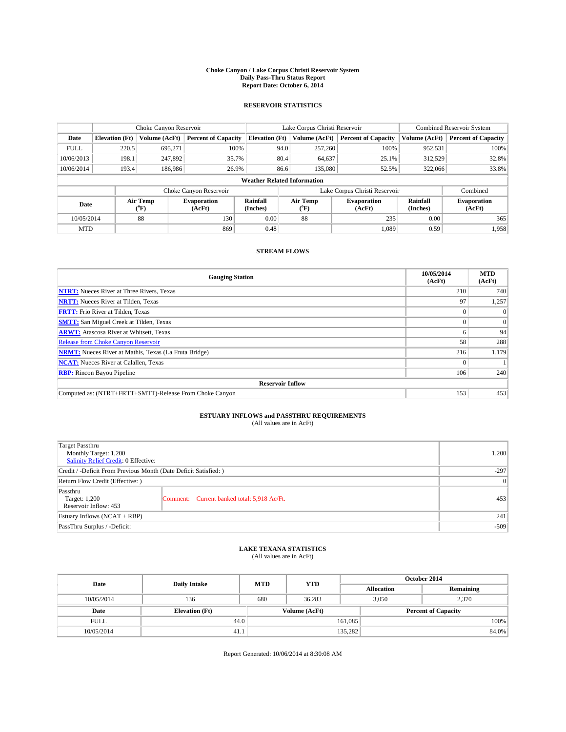#### **Choke Canyon / Lake Corpus Christi Reservoir System Daily Pass-Thru Status Report Report Date: October 6, 2014**

### **RESERVOIR STATISTICS**

|             | Choke Canyon Reservoir                                                                                                                   |               |                            |                                    | Lake Corpus Christi Reservoir | <b>Combined Reservoir System</b> |               |                            |
|-------------|------------------------------------------------------------------------------------------------------------------------------------------|---------------|----------------------------|------------------------------------|-------------------------------|----------------------------------|---------------|----------------------------|
| Date        | <b>Elevation</b> (Ft)                                                                                                                    | Volume (AcFt) | <b>Percent of Capacity</b> | <b>Elevation</b> (Ft)              | Volume (AcFt)                 | <b>Percent of Capacity</b>       | Volume (AcFt) | <b>Percent of Capacity</b> |
| <b>FULL</b> | 220.5                                                                                                                                    | 695.271       | 100%                       | 94.0                               | 257,260                       | 100%                             | 952,531       | 100%                       |
| 10/06/2013  | 198.1                                                                                                                                    | 247,892       | 35.7%                      | 80.4                               | 64,637                        | 25.1%                            | 312,529       | 32.8%                      |
| 10/06/2014  | 193.4                                                                                                                                    | 186,986       | 26.9%                      | 86.6                               | 135,080                       | 52.5%                            | 322,066       | 33.8%                      |
|             |                                                                                                                                          |               |                            | <b>Weather Related Information</b> |                               |                                  |               |                            |
|             |                                                                                                                                          |               | Choke Canyon Reservoir     |                                    | Lake Corpus Christi Reservoir | Combined                         |               |                            |
| Date        | Air Temp<br>Air Temp<br>Rainfall<br><b>Evaporation</b><br><b>Evaporation</b><br>(°F)<br>(AcFt)<br>(Inches)<br>(AcFt)<br>$\rm ^{(^o}\!F)$ |               |                            | Rainfall<br>(Inches)               | <b>Evaporation</b><br>(AcFt)  |                                  |               |                            |
| 10/05/2014  |                                                                                                                                          | 88            | 130                        | 0.00                               | 88                            | 235                              | 0.00          | 365                        |
| <b>MTD</b>  |                                                                                                                                          |               | 869                        | 0.48                               |                               | 1.089                            | 0.59          | 1.958                      |

### **STREAM FLOWS**

| <b>Gauging Station</b>                                       | 10/05/2014<br>(AcFt) | <b>MTD</b><br>(AcFt) |  |  |  |  |  |
|--------------------------------------------------------------|----------------------|----------------------|--|--|--|--|--|
| <b>NTRT:</b> Nueces River at Three Rivers, Texas             | 210                  | 740                  |  |  |  |  |  |
| <b>NRTT:</b> Nueces River at Tilden, Texas                   | 97                   | 1,257                |  |  |  |  |  |
| <b>FRTT:</b> Frio River at Tilden, Texas                     |                      | $\theta$             |  |  |  |  |  |
| <b>SMTT:</b> San Miguel Creek at Tilden, Texas               |                      | $\Omega$             |  |  |  |  |  |
| <b>ARWT:</b> Atascosa River at Whitsett, Texas               |                      | 94                   |  |  |  |  |  |
| <b>Release from Choke Canyon Reservoir</b>                   | 58                   | 288                  |  |  |  |  |  |
| <b>NRMT:</b> Nueces River at Mathis, Texas (La Fruta Bridge) | 216                  | 1,179                |  |  |  |  |  |
| <b>NCAT:</b> Nueces River at Calallen, Texas                 |                      |                      |  |  |  |  |  |
| <b>RBP:</b> Rincon Bayou Pipeline                            | 106                  | 240                  |  |  |  |  |  |
| <b>Reservoir Inflow</b>                                      |                      |                      |  |  |  |  |  |
| Computed as: (NTRT+FRTT+SMTT)-Release From Choke Canyon      | 153                  | 453                  |  |  |  |  |  |

# **ESTUARY INFLOWS and PASSTHRU REQUIREMENTS**<br>(All values are in AcFt)

| Target Passthru<br>Monthly Target: 1,200<br>Salinity Relief Credit: 0 Effective: | 1,200                                       |     |  |  |
|----------------------------------------------------------------------------------|---------------------------------------------|-----|--|--|
| Credit / -Deficit From Previous Month (Date Deficit Satisfied: )                 |                                             |     |  |  |
| Return Flow Credit (Effective: )                                                 | 0                                           |     |  |  |
| Passthru<br>Target: 1,200<br>Reservoir Inflow: 453                               | Comment: Current banked total: 5,918 Ac/Ft. | 453 |  |  |
| Estuary Inflows (NCAT + RBP)                                                     | 241                                         |     |  |  |
| PassThru Surplus / -Deficit:                                                     | $-509$                                      |     |  |  |

## **LAKE TEXANA STATISTICS** (All values are in AcFt)

| Date        | <b>Daily Intake</b>   | <b>MTD</b> | <b>YTD</b>    | October 2014      |                |                            |  |
|-------------|-----------------------|------------|---------------|-------------------|----------------|----------------------------|--|
|             |                       |            |               | <b>Allocation</b> |                | Remaining                  |  |
| 10/05/2014  | 136                   | 680        | 36,283        |                   | 2.370<br>3,050 |                            |  |
| Date        | <b>Elevation</b> (Ft) |            | Volume (AcFt) |                   |                | <b>Percent of Capacity</b> |  |
| <b>FULL</b> |                       | 44.0       |               | 161,085           |                | 100%                       |  |
| 10/05/2014  | 41.1                  |            |               | 135,282           |                | 84.0%                      |  |

Report Generated: 10/06/2014 at 8:30:08 AM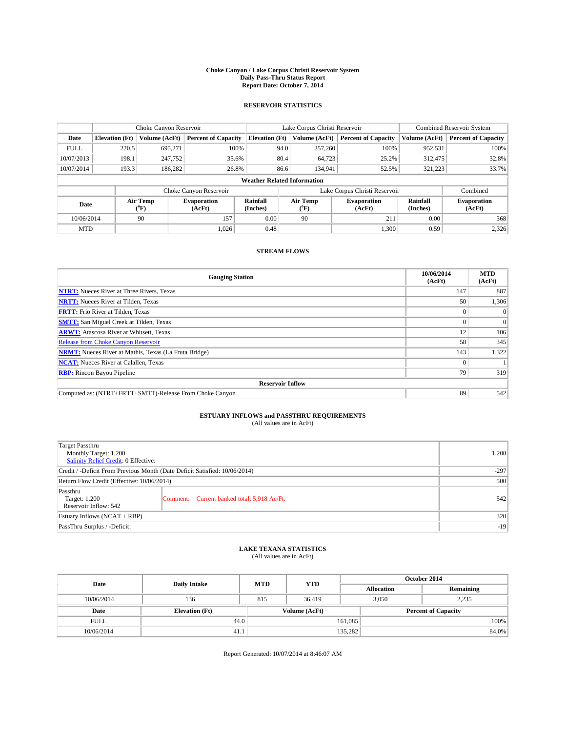#### **Choke Canyon / Lake Corpus Christi Reservoir System Daily Pass-Thru Status Report Report Date: October 7, 2014**

### **RESERVOIR STATISTICS**

|             |                                    | Choke Canyon Reservoir |                              |                       | Lake Corpus Christi Reservoir | <b>Combined Reservoir System</b> |                      |                              |  |
|-------------|------------------------------------|------------------------|------------------------------|-----------------------|-------------------------------|----------------------------------|----------------------|------------------------------|--|
| Date        | <b>Elevation</b> (Ft)              | Volume (AcFt)          | <b>Percent of Capacity</b>   | <b>Elevation (Ft)</b> | Volume (AcFt)                 | <b>Percent of Capacity</b>       | Volume (AcFt)        | Percent of Capacity          |  |
| <b>FULL</b> | 220.5                              | 695,271                | 100%                         | 94.0                  | 257,260                       | 100%                             | 952,531              | 100%                         |  |
| 10/07/2013  | 198.1                              | 247,752                | 35.6%                        | 80.4                  | 64,723                        | 25.2%                            | 312,475              | 32.8%                        |  |
| 10/07/2014  | 193.3                              | 186,282                | 26.8%                        | 86.6                  | 134,941                       | 52.5%                            | 321.223              | 33.7%                        |  |
|             | <b>Weather Related Information</b> |                        |                              |                       |                               |                                  |                      |                              |  |
|             |                                    |                        | Choke Canyon Reservoir       |                       |                               | Lake Corpus Christi Reservoir    |                      | Combined                     |  |
| Date        |                                    | Air Temp<br>(°F)       | <b>Evaporation</b><br>(AcFt) | Rainfall<br>(Inches)  | Air Temp<br>("F)              | <b>Evaporation</b><br>(AcFt)     | Rainfall<br>(Inches) | <b>Evaporation</b><br>(AcFt) |  |
| 10/06/2014  |                                    | 90                     | 157                          | 0.00                  | 90                            | 211                              | 0.00                 | 368                          |  |
| <b>MTD</b>  |                                    |                        | 1.026                        | 0.48                  |                               | 1,300                            | 0.59                 | 2,326                        |  |

### **STREAM FLOWS**

| <b>Gauging Station</b>                                       | 10/06/2014<br>(AcFt) | <b>MTD</b><br>(AcFt) |  |  |  |  |
|--------------------------------------------------------------|----------------------|----------------------|--|--|--|--|
| <b>NTRT:</b> Nueces River at Three Rivers, Texas             | 147                  | 887                  |  |  |  |  |
| <b>NRTT:</b> Nueces River at Tilden, Texas                   | 50                   | 1,306                |  |  |  |  |
| <b>FRTT:</b> Frio River at Tilden, Texas                     |                      | $\Omega$             |  |  |  |  |
| <b>SMTT:</b> San Miguel Creek at Tilden, Texas               |                      | $\Omega$             |  |  |  |  |
| <b>ARWT:</b> Atascosa River at Whitsett, Texas               | 12                   | 106                  |  |  |  |  |
| <b>Release from Choke Canyon Reservoir</b>                   | 58                   | 345                  |  |  |  |  |
| <b>NRMT:</b> Nueces River at Mathis, Texas (La Fruta Bridge) | 143                  | 1,322                |  |  |  |  |
| <b>NCAT:</b> Nueces River at Calallen, Texas                 |                      |                      |  |  |  |  |
| <b>RBP:</b> Rincon Bayou Pipeline                            | 79                   | 319                  |  |  |  |  |
| <b>Reservoir Inflow</b>                                      |                      |                      |  |  |  |  |
| Computed as: (NTRT+FRTT+SMTT)-Release From Choke Canyon      | 89                   | 542                  |  |  |  |  |

# **ESTUARY INFLOWS and PASSTHRU REQUIREMENTS**<br>(All values are in AcFt)

| <b>Target Passthru</b><br>Monthly Target: 1,200<br>Salinity Relief Credit: 0 Effective: |                                             | 1,200 |
|-----------------------------------------------------------------------------------------|---------------------------------------------|-------|
| Credit / -Deficit From Previous Month (Date Deficit Satisfied: 10/06/2014)              | $-297$                                      |       |
| Return Flow Credit (Effective: 10/06/2014)                                              | 500                                         |       |
| Passthru<br>Target: 1,200<br>Reservoir Inflow: 542                                      | Comment: Current banked total: 5,918 Ac/Ft. | 542   |
| Estuary Inflows (NCAT + RBP)                                                            | 320                                         |       |
| PassThru Surplus / -Deficit:                                                            | $-19$                                       |       |

## **LAKE TEXANA STATISTICS** (All values are in AcFt)

| Date        | <b>Daily Intake</b>   | <b>MTD</b> | <b>YTD</b>    | October 2014      |                            |           |       |
|-------------|-----------------------|------------|---------------|-------------------|----------------------------|-----------|-------|
|             |                       |            |               | <b>Allocation</b> |                            | Remaining |       |
| 10/06/2014  | 136                   | 815        | 36,419        |                   | 3.050<br>2.235             |           |       |
| Date        | <b>Elevation</b> (Ft) |            | Volume (AcFt) |                   | <b>Percent of Capacity</b> |           |       |
| <b>FULL</b> | 44.0                  |            |               | 161,085           |                            |           | 100%  |
| 10/06/2014  | 41.1                  |            |               | 135,282           |                            |           | 84.0% |

Report Generated: 10/07/2014 at 8:46:07 AM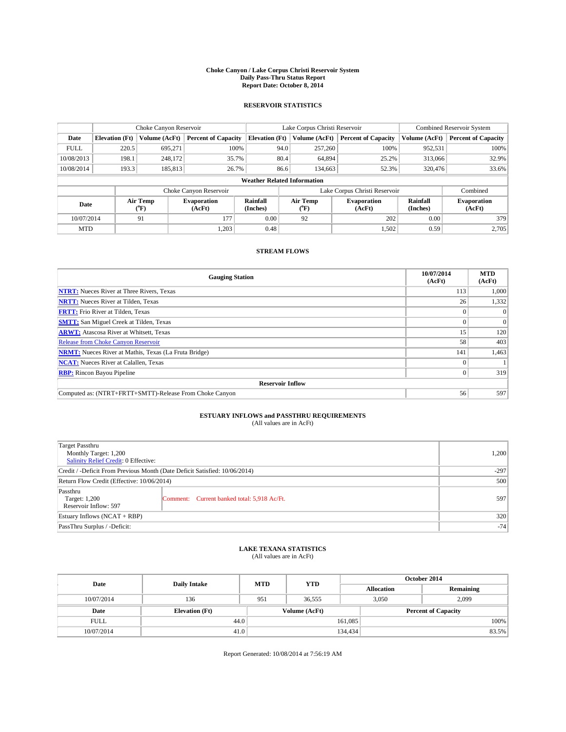#### **Choke Canyon / Lake Corpus Christi Reservoir System Daily Pass-Thru Status Report Report Date: October 8, 2014**

### **RESERVOIR STATISTICS**

|             |                                    | Choke Canyon Reservoir |                              |                       | Lake Corpus Christi Reservoir | Combined Reservoir System     |                      |                              |  |
|-------------|------------------------------------|------------------------|------------------------------|-----------------------|-------------------------------|-------------------------------|----------------------|------------------------------|--|
| Date        | <b>Elevation</b> (Ft)              | Volume (AcFt)          | <b>Percent of Capacity</b>   | <b>Elevation (Ft)</b> | Volume (AcFt)                 | <b>Percent of Capacity</b>    | Volume (AcFt)        | <b>Percent of Capacity</b>   |  |
| <b>FULL</b> | 220.5                              | 695.271                | 100%                         | 94.0                  | 257,260                       | 100%                          | 952,531              | 100%                         |  |
| 10/08/2013  | 198.1                              | 248,172                | 35.7%                        |                       | 80.4<br>64,894                | 25.2%                         | 313,066              | 32.9%                        |  |
| 10/08/2014  | 193.3                              | 185,813                | 26.7%                        |                       | 86.6<br>134,663               | 52.3%                         | 320,476              | 33.6%                        |  |
|             | <b>Weather Related Information</b> |                        |                              |                       |                               |                               |                      |                              |  |
|             |                                    |                        | Choke Canyon Reservoir       |                       |                               | Lake Corpus Christi Reservoir |                      | Combined                     |  |
| Date        |                                    | Air Temp<br>(°F)       | <b>Evaporation</b><br>(AcFt) | Rainfall<br>(Inches)  | Air Temp<br>$(^{o}F)$         | Evaporation<br>(AcFt)         | Rainfall<br>(Inches) | <b>Evaporation</b><br>(AcFt) |  |
| 10/07/2014  |                                    | 177<br>91              |                              | 0.00                  | 92                            | 202                           | 0.00                 | 379                          |  |
| <b>MTD</b>  |                                    |                        | 1.203                        | 0.48                  |                               | 1,502                         | 0.59                 | 2,705                        |  |

### **STREAM FLOWS**

| <b>Gauging Station</b>                                       | 10/07/2014<br>(AcFt) | <b>MTD</b><br>(AcFt) |  |  |  |
|--------------------------------------------------------------|----------------------|----------------------|--|--|--|
| <b>NTRT:</b> Nueces River at Three Rivers, Texas             | 113                  | 1,000                |  |  |  |
| <b>NRTT:</b> Nueces River at Tilden, Texas                   | 26                   | 1,332                |  |  |  |
| <b>FRTT:</b> Frio River at Tilden, Texas                     |                      | $\Omega$             |  |  |  |
| <b>SMTT:</b> San Miguel Creek at Tilden, Texas               |                      | $\Omega$             |  |  |  |
| <b>ARWT:</b> Atascosa River at Whitsett, Texas               | 15                   | 120                  |  |  |  |
| <b>Release from Choke Canyon Reservoir</b>                   | 58                   | 403                  |  |  |  |
| <b>NRMT:</b> Nueces River at Mathis, Texas (La Fruta Bridge) | 141                  | 1,463                |  |  |  |
| <b>NCAT:</b> Nueces River at Calallen, Texas                 |                      |                      |  |  |  |
| <b>RBP:</b> Rincon Bayou Pipeline                            | $\Omega$             | 319                  |  |  |  |
| <b>Reservoir Inflow</b>                                      |                      |                      |  |  |  |
| Computed as: (NTRT+FRTT+SMTT)-Release From Choke Canyon      | 56                   | 597                  |  |  |  |

# **ESTUARY INFLOWS and PASSTHRU REQUIREMENTS**<br>(All values are in AcFt)

| <b>Target Passthru</b><br>Monthly Target: 1,200<br>Salinity Relief Credit: 0 Effective: |                                             | 1,200 |
|-----------------------------------------------------------------------------------------|---------------------------------------------|-------|
| Credit / -Deficit From Previous Month (Date Deficit Satisfied: 10/06/2014)              | $-297$                                      |       |
| Return Flow Credit (Effective: 10/06/2014)                                              | 500                                         |       |
| Passthru<br>Target: 1,200<br>Reservoir Inflow: 597                                      | Comment: Current banked total: 5,918 Ac/Ft. | 597   |
| Estuary Inflows (NCAT + RBP)                                                            | 320                                         |       |
| PassThru Surplus / -Deficit:                                                            | $-74$                                       |       |

## **LAKE TEXANA STATISTICS** (All values are in AcFt)

| Date        | <b>Daily Intake</b>   | <b>MTD</b> | <b>YTD</b>    | October 2014               |  |           |  |
|-------------|-----------------------|------------|---------------|----------------------------|--|-----------|--|
|             |                       |            |               | <b>Allocation</b>          |  | Remaining |  |
| 10/07/2014  | 136                   | 951        | 36.555        | 3.050                      |  | 2.099     |  |
| Date        | <b>Elevation</b> (Ft) |            | Volume (AcFt) | <b>Percent of Capacity</b> |  |           |  |
| <b>FULL</b> | 44.0                  |            |               | 161,085                    |  | 100%      |  |
| 10/07/2014  | 41.0                  |            |               | 134,434                    |  | 83.5%     |  |

Report Generated: 10/08/2014 at 7:56:19 AM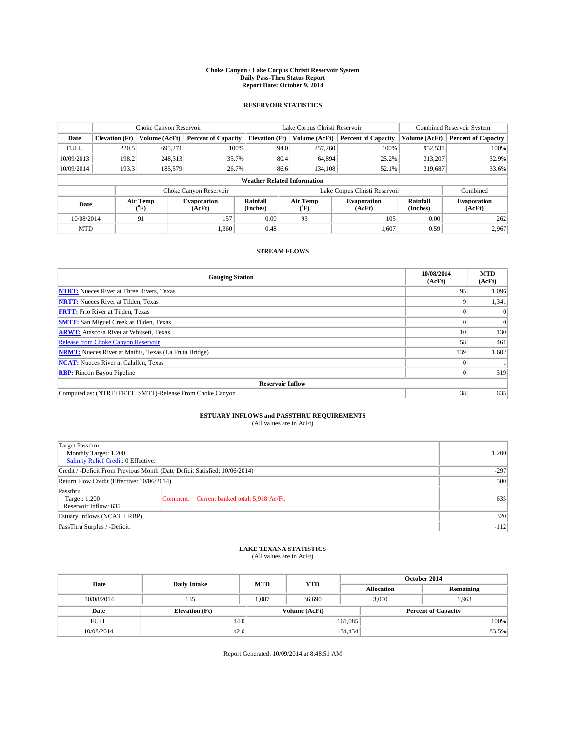#### **Choke Canyon / Lake Corpus Christi Reservoir System Daily Pass-Thru Status Report Report Date: October 9, 2014**

### **RESERVOIR STATISTICS**

|             |                                    | Choke Canyon Reservoir |                              |                       | Lake Corpus Christi Reservoir | Combined Reservoir System                   |                      |                                             |  |
|-------------|------------------------------------|------------------------|------------------------------|-----------------------|-------------------------------|---------------------------------------------|----------------------|---------------------------------------------|--|
| Date        | <b>Elevation</b> (Ft)              | Volume (AcFt)          | <b>Percent of Capacity</b>   | <b>Elevation (Ft)</b> |                               | <b>Percent of Capacity</b><br>Volume (AcFt) |                      | <b>Percent of Capacity</b><br>Volume (AcFt) |  |
| <b>FULL</b> | 220.5                              | 695.271                | 100%                         | 94.0                  | 257,260                       | 100%                                        | 952,531              | 100%                                        |  |
| 10/09/2013  | 198.2                              | 248,313                | 35.7%                        | 80.4                  | 64,894                        | 25.2%                                       | 313,207              | 32.9%                                       |  |
| 10/09/2014  | 193.3                              | 185,579                | 26.7%                        | 86.6                  | 134.108                       | 52.1%                                       | 319,687              | 33.6%                                       |  |
|             | <b>Weather Related Information</b> |                        |                              |                       |                               |                                             |                      |                                             |  |
|             |                                    |                        | Choke Canyon Reservoir       |                       |                               | Lake Corpus Christi Reservoir               |                      | Combined                                    |  |
| Date        |                                    | Air Temp<br>(°F)       | <b>Evaporation</b><br>(AcFt) | Rainfall<br>(Inches)  | Air Temp<br>$(^{o}F)$         | Evaporation<br>(AcFt)                       | Rainfall<br>(Inches) | <b>Evaporation</b><br>(AcFt)                |  |
| 10/08/2014  |                                    | 157<br>91              |                              | 0.00                  | 93                            | 105                                         | 0.00                 | 262                                         |  |
| <b>MTD</b>  |                                    |                        | 1.360                        | 0.48                  |                               | 1,607                                       | 0.59                 | 2,967                                       |  |

### **STREAM FLOWS**

| <b>Gauging Station</b>                                       | 10/08/2014<br>(AcFt) | <b>MTD</b><br>(AcFt) |  |  |  |  |
|--------------------------------------------------------------|----------------------|----------------------|--|--|--|--|
| <b>NTRT:</b> Nueces River at Three Rivers, Texas             | 95                   | 1,096                |  |  |  |  |
| <b>NRTT:</b> Nueces River at Tilden, Texas                   |                      | 1,341                |  |  |  |  |
| <b>FRTT:</b> Frio River at Tilden, Texas                     |                      | $\Omega$             |  |  |  |  |
| <b>SMTT:</b> San Miguel Creek at Tilden, Texas               |                      | $\Omega$             |  |  |  |  |
| <b>ARWT:</b> Atascosa River at Whitsett, Texas               | 10                   | 130                  |  |  |  |  |
| <b>Release from Choke Canyon Reservoir</b>                   | 58                   | 461                  |  |  |  |  |
| <b>NRMT:</b> Nueces River at Mathis, Texas (La Fruta Bridge) | 139                  | 1,602                |  |  |  |  |
| <b>NCAT:</b> Nueces River at Calallen, Texas                 |                      |                      |  |  |  |  |
| <b>RBP:</b> Rincon Bayou Pipeline                            | $\Omega$             | 319                  |  |  |  |  |
| <b>Reservoir Inflow</b>                                      |                      |                      |  |  |  |  |
| Computed as: (NTRT+FRTT+SMTT)-Release From Choke Canyon      | 38                   | 635                  |  |  |  |  |

# **ESTUARY INFLOWS and PASSTHRU REQUIREMENTS**<br>(All values are in AcFt)

| <b>Target Passthru</b><br>Monthly Target: 1,200<br>Salinity Relief Credit: 0 Effective: |                                             | 1,200 |
|-----------------------------------------------------------------------------------------|---------------------------------------------|-------|
| Credit / -Deficit From Previous Month (Date Deficit Satisfied: 10/06/2014)              | $-297$                                      |       |
| Return Flow Credit (Effective: 10/06/2014)                                              | 500                                         |       |
| Passthru<br>Target: 1,200<br>Reservoir Inflow: 635                                      | Comment: Current banked total: 5,918 Ac/Ft. | 635   |
| Estuary Inflows (NCAT + RBP)                                                            | 320                                         |       |
| PassThru Surplus / -Deficit:                                                            | $-112$                                      |       |

## **LAKE TEXANA STATISTICS** (All values are in AcFt)

| Date        | <b>Daily Intake</b>   | <b>MTD</b> | <b>YTD</b>    | October 2014               |                |           |  |
|-------------|-----------------------|------------|---------------|----------------------------|----------------|-----------|--|
|             |                       |            |               | <b>Allocation</b>          |                | Remaining |  |
| 10/08/2014  | 135                   | 1.087      | 36.690        |                            | 3,050<br>1,963 |           |  |
| Date        | <b>Elevation</b> (Ft) |            | Volume (AcFt) | <b>Percent of Capacity</b> |                |           |  |
| <b>FULL</b> | 44.0                  |            |               | 161,085                    |                | 100%      |  |
| 10/08/2014  | 42.0                  |            |               | 134,434                    |                | 83.5%     |  |

Report Generated: 10/09/2014 at 8:48:51 AM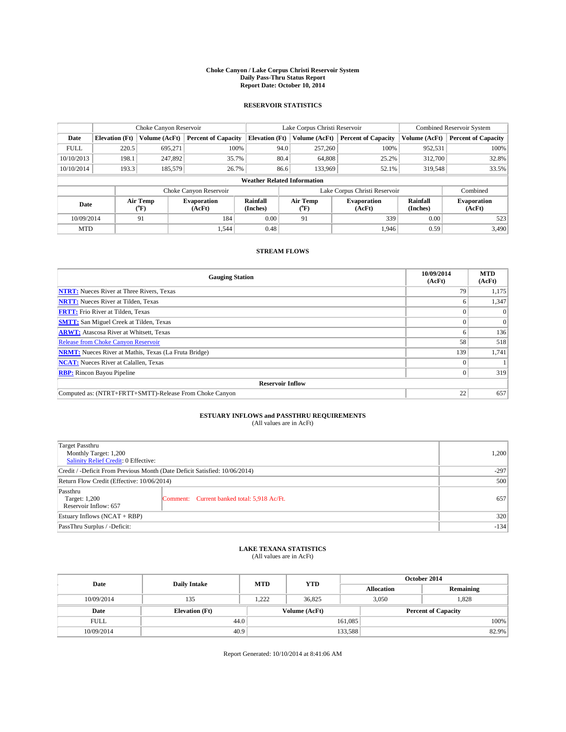#### **Choke Canyon / Lake Corpus Christi Reservoir System Daily Pass-Thru Status Report Report Date: October 10, 2014**

### **RESERVOIR STATISTICS**

|             |                                                                                                                            | Choke Canyon Reservoir |                            |                       | Lake Corpus Christi Reservoir | Combined Reservoir System     |               |                            |  |
|-------------|----------------------------------------------------------------------------------------------------------------------------|------------------------|----------------------------|-----------------------|-------------------------------|-------------------------------|---------------|----------------------------|--|
| Date        | <b>Elevation</b> (Ft)                                                                                                      | Volume (AcFt)          | <b>Percent of Capacity</b> | <b>Elevation (Ft)</b> | Volume (AcFt)                 | <b>Percent of Capacity</b>    | Volume (AcFt) | <b>Percent of Capacity</b> |  |
| <b>FULL</b> | 220.5                                                                                                                      | 695.271                | 100%                       | 94.0                  | 257,260                       | 100%                          | 952,531       | 100%                       |  |
| 10/10/2013  | 198.1                                                                                                                      | 247,892                | 35.7%                      |                       | 80.4<br>64,808                | 25.2%                         | 312,700       | 32.8%                      |  |
| 10/10/2014  | 193.3                                                                                                                      | 185,579                | 26.7%                      |                       | 86.6<br>133,969               | 52.1%                         | 319,548       | 33.5%                      |  |
|             | <b>Weather Related Information</b>                                                                                         |                        |                            |                       |                               |                               |               |                            |  |
|             |                                                                                                                            |                        | Choke Canyon Reservoir     |                       |                               | Lake Corpus Christi Reservoir |               | Combined                   |  |
| Date        | Rainfall<br>Air Temp<br>Air Temp<br><b>Evaporation</b><br>Evaporation<br>(Inches)<br>(°F)<br>(AcFt)<br>(AcFt)<br>$(^{o}F)$ |                        |                            | Rainfall<br>(Inches)  | <b>Evaporation</b><br>(AcFt)  |                               |               |                            |  |
| 10/09/2014  |                                                                                                                            | 91                     | 184                        | 0.00                  | 91                            | 339                           | 0.00          | 523                        |  |
| <b>MTD</b>  |                                                                                                                            |                        | 1.544                      | 0.48                  |                               | 1,946                         | 0.59          | 3,490                      |  |

### **STREAM FLOWS**

| <b>Gauging Station</b>                                       | 10/09/2014<br>(AcFt) | <b>MTD</b><br>(AcFt) |  |  |  |  |
|--------------------------------------------------------------|----------------------|----------------------|--|--|--|--|
| <b>NTRT:</b> Nueces River at Three Rivers, Texas             | 79                   | 1,175                |  |  |  |  |
| <b>NRTT:</b> Nueces River at Tilden, Texas                   | o                    | 1,347                |  |  |  |  |
| <b>FRTT:</b> Frio River at Tilden, Texas                     | 0                    | $\Omega$             |  |  |  |  |
| <b>SMTT:</b> San Miguel Creek at Tilden, Texas               |                      | $\overline{0}$       |  |  |  |  |
| <b>ARWT:</b> Atascosa River at Whitsett, Texas               | 6                    | 136                  |  |  |  |  |
| <b>Release from Choke Canyon Reservoir</b>                   | 58                   | 518                  |  |  |  |  |
| <b>NRMT:</b> Nueces River at Mathis, Texas (La Fruta Bridge) | 139                  | 1,741                |  |  |  |  |
| <b>NCAT:</b> Nueces River at Calallen, Texas                 | 0                    |                      |  |  |  |  |
| <b>RBP:</b> Rincon Bayou Pipeline                            | $\Omega$             | 319                  |  |  |  |  |
| <b>Reservoir Inflow</b>                                      |                      |                      |  |  |  |  |
| Computed as: (NTRT+FRTT+SMTT)-Release From Choke Canyon      | 22                   | 657                  |  |  |  |  |

# **ESTUARY INFLOWS and PASSTHRU REQUIREMENTS**<br>(All values are in AcFt)

| <b>Target Passthru</b><br>Monthly Target: 1,200<br>Salinity Relief Credit: 0 Effective: |                                             | 1,200 |
|-----------------------------------------------------------------------------------------|---------------------------------------------|-------|
| Credit / -Deficit From Previous Month (Date Deficit Satisfied: 10/06/2014)              | $-297$                                      |       |
| Return Flow Credit (Effective: 10/06/2014)                                              | 500                                         |       |
| Passthru<br>Target: 1,200<br>Reservoir Inflow: 657                                      | Comment: Current banked total: 5,918 Ac/Ft. | 657   |
| Estuary Inflows (NCAT + RBP)                                                            | 320                                         |       |
| PassThru Surplus / -Deficit:                                                            | $-134$                                      |       |

# **LAKE TEXANA STATISTICS** (All values are in AcFt)

| Date        | <b>Daily Intake</b>   | <b>MTD</b> | <b>YTD</b>    | October 2014      |                            |           |  |
|-------------|-----------------------|------------|---------------|-------------------|----------------------------|-----------|--|
|             |                       |            |               | <b>Allocation</b> |                            | Remaining |  |
| 10/09/2014  | 135                   | 1.222      | 36.825        |                   | 1.828<br>3,050             |           |  |
| Date        | <b>Elevation</b> (Ft) |            | Volume (AcFt) |                   | <b>Percent of Capacity</b> |           |  |
| <b>FULL</b> | 44.0                  |            |               | 161,085           |                            | 100%      |  |
| 10/09/2014  | 40.9                  |            |               | 133,588           |                            | 82.9%     |  |

Report Generated: 10/10/2014 at 8:41:06 AM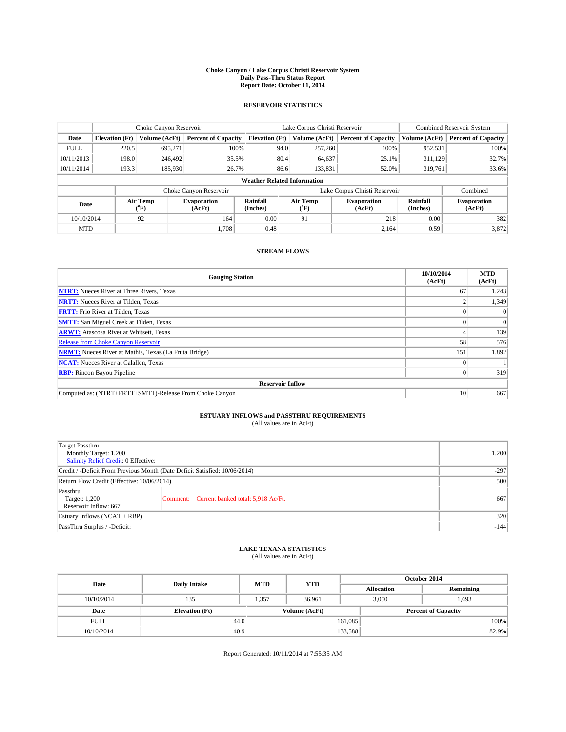#### **Choke Canyon / Lake Corpus Christi Reservoir System Daily Pass-Thru Status Report Report Date: October 11, 2014**

### **RESERVOIR STATISTICS**

|             | Choke Canyon Reservoir |                                                                                                                              |                            |                                    | Lake Corpus Christi Reservoir |                              |                               |               | Combined Reservoir System  |  |  |
|-------------|------------------------|------------------------------------------------------------------------------------------------------------------------------|----------------------------|------------------------------------|-------------------------------|------------------------------|-------------------------------|---------------|----------------------------|--|--|
| Date        | <b>Elevation</b> (Ft)  | Volume (AcFt)                                                                                                                | <b>Percent of Capacity</b> | <b>Elevation (Ft)</b>              | Volume (AcFt)                 |                              | <b>Percent of Capacity</b>    | Volume (AcFt) | <b>Percent of Capacity</b> |  |  |
| <b>FULL</b> | 220.5                  | 695.271                                                                                                                      | 100%                       |                                    | 94.0                          | 257,260                      | 100%                          | 952,531       | 100%                       |  |  |
| 10/11/2013  | 198.0                  | 246,492                                                                                                                      | 35.5%                      |                                    | 80.4                          | 64,637                       | 25.1%                         | 311,129       | 32.7%                      |  |  |
| 10/11/2014  | 193.3                  | 185,930                                                                                                                      | 26.7%                      |                                    | 86.6                          | 133,831                      | 52.0%                         | 319,761       | 33.6%                      |  |  |
|             |                        |                                                                                                                              |                            | <b>Weather Related Information</b> |                               |                              |                               |               |                            |  |  |
|             |                        |                                                                                                                              | Choke Canyon Reservoir     |                                    |                               |                              | Lake Corpus Christi Reservoir |               | Combined                   |  |  |
| Date        |                        | Rainfall<br>Air Temp<br>Air Temp<br><b>Evaporation</b><br><b>Evaporation</b><br>(Inches)<br>(°F)<br>(AcFt)<br>(AcFt)<br>(°F) |                            |                                    | Rainfall<br>(Inches)          | <b>Evaporation</b><br>(AcFt) |                               |               |                            |  |  |
| 10/10/2014  |                        | 92                                                                                                                           | 164                        | 0.00                               | 91                            |                              | 218                           | 0.00          | 382                        |  |  |
| <b>MTD</b>  |                        |                                                                                                                              | 1.708                      | 0.48                               |                               |                              | 2,164                         | 0.59          | 3,872                      |  |  |

### **STREAM FLOWS**

| <b>Gauging Station</b>                                       | 10/10/2014<br>(AcFt) | <b>MTD</b><br>(AcFt) |  |  |  |  |
|--------------------------------------------------------------|----------------------|----------------------|--|--|--|--|
| <b>NTRT:</b> Nueces River at Three Rivers, Texas             | 67                   | 1,243                |  |  |  |  |
| <b>NRTT:</b> Nueces River at Tilden, Texas                   |                      | 1,349                |  |  |  |  |
| <b>FRTT:</b> Frio River at Tilden, Texas                     | o                    | $\Omega$             |  |  |  |  |
| <b>SMTT:</b> San Miguel Creek at Tilden, Texas               |                      | $\Omega$             |  |  |  |  |
| <b>ARWT:</b> Atascosa River at Whitsett, Texas               |                      | 139                  |  |  |  |  |
| <b>Release from Choke Canyon Reservoir</b>                   | 58                   | 576                  |  |  |  |  |
| <b>NRMT:</b> Nueces River at Mathis, Texas (La Fruta Bridge) | 151                  | 1,892                |  |  |  |  |
| <b>NCAT:</b> Nueces River at Calallen, Texas                 |                      |                      |  |  |  |  |
| <b>RBP:</b> Rincon Bayou Pipeline                            | $\Omega$             | 319                  |  |  |  |  |
| <b>Reservoir Inflow</b>                                      |                      |                      |  |  |  |  |
| Computed as: (NTRT+FRTT+SMTT)-Release From Choke Canyon      | 10                   | 667                  |  |  |  |  |

# **ESTUARY INFLOWS and PASSTHRU REQUIREMENTS**<br>(All values are in AcFt)

| Target Passthru                                                            |                                             |       |
|----------------------------------------------------------------------------|---------------------------------------------|-------|
| Monthly Target: 1,200                                                      |                                             | 1,200 |
| <b>Salinity Relief Credit: 0 Effective:</b>                                |                                             |       |
| Credit / -Deficit From Previous Month (Date Deficit Satisfied: 10/06/2014) | $-297$                                      |       |
| Return Flow Credit (Effective: 10/06/2014)                                 | 500                                         |       |
| Passthru                                                                   |                                             |       |
| Target: 1,200                                                              | Comment: Current banked total: 5,918 Ac/Ft. | 667   |
| Reservoir Inflow: 667                                                      |                                             |       |
| Estuary Inflows (NCAT + RBP)                                               | 320                                         |       |
| PassThru Surplus / -Deficit:                                               | $-144$                                      |       |

# **LAKE TEXANA STATISTICS** (All values are in AcFt)

| Date        | <b>Daily Intake</b>   | <b>MTD</b> | <b>YTD</b>    | October 2014               |                |           |  |
|-------------|-----------------------|------------|---------------|----------------------------|----------------|-----------|--|
|             |                       |            |               | <b>Allocation</b>          |                | Remaining |  |
| 10/10/2014  | 135                   | 1.357      | 36.961        |                            | 3,050<br>1,693 |           |  |
| Date        | <b>Elevation</b> (Ft) |            | Volume (AcFt) | <b>Percent of Capacity</b> |                |           |  |
| <b>FULL</b> | 44.0                  |            |               | 161,085                    |                | 100%      |  |
| 10/10/2014  | 40.9                  |            |               | 133,588                    |                | 82.9%     |  |

Report Generated: 10/11/2014 at 7:55:35 AM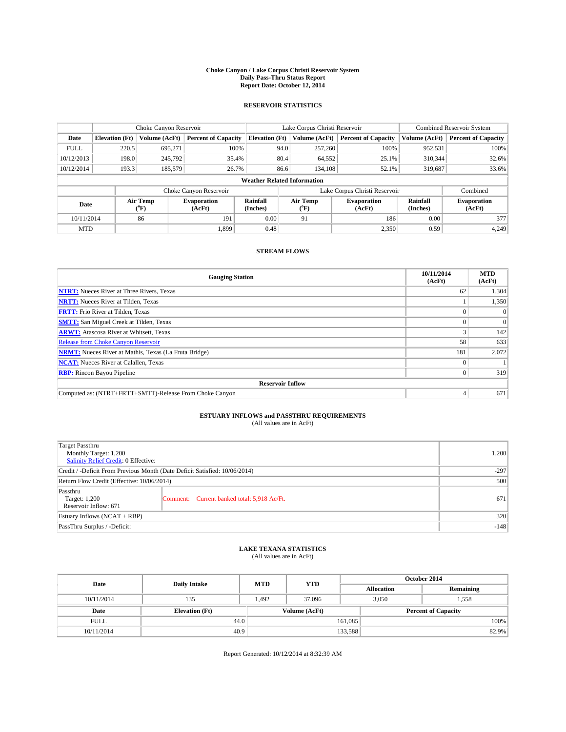#### **Choke Canyon / Lake Corpus Christi Reservoir System Daily Pass-Thru Status Report Report Date: October 12, 2014**

### **RESERVOIR STATISTICS**

|             | Choke Canyon Reservoir                                                                               |               |                              |                       | Lake Corpus Christi Reservoir |               |                               |               | Combined Reservoir System  |  |  |
|-------------|------------------------------------------------------------------------------------------------------|---------------|------------------------------|-----------------------|-------------------------------|---------------|-------------------------------|---------------|----------------------------|--|--|
| Date        | <b>Elevation</b> (Ft)                                                                                | Volume (AcFt) | <b>Percent of Capacity</b>   | <b>Elevation (Ft)</b> |                               | Volume (AcFt) | <b>Percent of Capacity</b>    | Volume (AcFt) | <b>Percent of Capacity</b> |  |  |
| <b>FULL</b> | 220.5                                                                                                | 695.271       | 100%                         |                       | 94.0                          | 257,260       | 100%                          | 952,531       | 100%                       |  |  |
| 10/12/2013  | 198.0                                                                                                | 245,792       | 35.4%                        |                       | 80.4                          | 64,552        | 25.1%                         | 310,344       | 32.6%                      |  |  |
| 10/12/2014  | 193.3                                                                                                | 185,579       | 26.7%                        |                       | 86.6                          | 134.108       | 52.1%                         | 319,687       | 33.6%                      |  |  |
|             | <b>Weather Related Information</b>                                                                   |               |                              |                       |                               |               |                               |               |                            |  |  |
|             |                                                                                                      |               | Choke Canyon Reservoir       |                       |                               |               | Lake Corpus Christi Reservoir |               | Combined                   |  |  |
|             | Rainfall<br>Air Temp<br>Air Temp<br><b>Evaporation</b><br>Date<br>(Inches)<br>(°F)<br>(AcFt)<br>(°F) |               | <b>Evaporation</b><br>(AcFt) | Rainfall<br>(Inches)  | <b>Evaporation</b><br>(AcFt)  |               |                               |               |                            |  |  |
| 10/11/2014  |                                                                                                      | 86            | 191                          | 0.00                  | 91                            |               | 186                           | 0.00          | 377                        |  |  |
| <b>MTD</b>  |                                                                                                      |               | 1.899                        | 0.48                  |                               |               | 2,350                         | 0.59          | 4,249                      |  |  |

### **STREAM FLOWS**

| <b>Gauging Station</b>                                       | 10/11/2014<br>(AcFt) | <b>MTD</b><br>(AcFt) |
|--------------------------------------------------------------|----------------------|----------------------|
| <b>NTRT:</b> Nueces River at Three Rivers, Texas             | 62                   | 1,304                |
| <b>NRTT:</b> Nueces River at Tilden, Texas                   |                      | 1,350                |
| <b>FRTT:</b> Frio River at Tilden, Texas                     |                      | $\Omega$             |
| <b>SMTT:</b> San Miguel Creek at Tilden, Texas               |                      | $\Omega$             |
| <b>ARWT:</b> Atascosa River at Whitsett, Texas               |                      | 142                  |
| <b>Release from Choke Canyon Reservoir</b>                   | 58                   | 633                  |
| <b>NRMT:</b> Nueces River at Mathis, Texas (La Fruta Bridge) | 181                  | 2,072                |
| <b>NCAT:</b> Nueces River at Calallen, Texas                 |                      |                      |
| <b>RBP:</b> Rincon Bayou Pipeline                            | $\Omega$             | 319                  |
| <b>Reservoir Inflow</b>                                      |                      |                      |
| Computed as: (NTRT+FRTT+SMTT)-Release From Choke Canyon      | 4                    | 671                  |

# **ESTUARY INFLOWS and PASSTHRU REQUIREMENTS**<br>(All values are in AcFt)

| <b>Target Passthru</b><br>Monthly Target: 1,200<br>Salinity Relief Credit: 0 Effective: |                                             | 1,200 |
|-----------------------------------------------------------------------------------------|---------------------------------------------|-------|
| Credit / -Deficit From Previous Month (Date Deficit Satisfied: 10/06/2014)              | $-297$                                      |       |
| Return Flow Credit (Effective: 10/06/2014)                                              | 500                                         |       |
| Passthru<br>Target: 1,200<br>Reservoir Inflow: 671                                      | Comment: Current banked total: 5,918 Ac/Ft. | 671   |
| Estuary Inflows (NCAT + RBP)                                                            | 320                                         |       |
| PassThru Surplus / -Deficit:                                                            | $-148$                                      |       |

# **LAKE TEXANA STATISTICS** (All values are in AcFt)

| Date        | <b>Daily Intake</b>   | <b>MTD</b> | <b>YTD</b>                                  | October 2014      |                |           |  |
|-------------|-----------------------|------------|---------------------------------------------|-------------------|----------------|-----------|--|
|             |                       |            |                                             | <b>Allocation</b> |                | Remaining |  |
| 10/11/2014  | 135                   | 1.492      | 37,096                                      |                   | 3,050<br>1,558 |           |  |
| Date        | <b>Elevation</b> (Ft) |            | Volume (AcFt)<br><b>Percent of Capacity</b> |                   |                |           |  |
| <b>FULL</b> | 44.0                  |            |                                             | 161,085           |                | 100%      |  |
| 10/11/2014  | 40.9                  |            |                                             | 133,588           |                | 82.9%     |  |

Report Generated: 10/12/2014 at 8:32:39 AM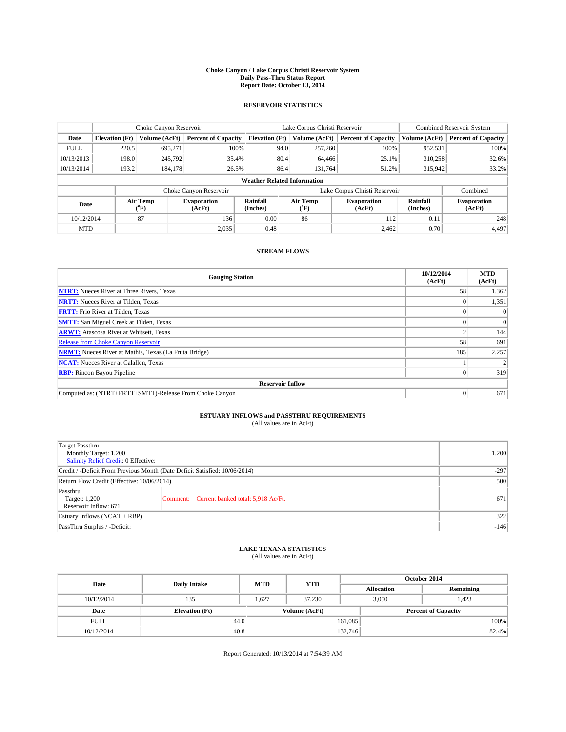#### **Choke Canyon / Lake Corpus Christi Reservoir System Daily Pass-Thru Status Report Report Date: October 13, 2014**

### **RESERVOIR STATISTICS**

|             |                                    | Choke Canyon Reservoir |                              |                       | Lake Corpus Christi Reservoir | Combined Reservoir System    |                      |                              |  |  |
|-------------|------------------------------------|------------------------|------------------------------|-----------------------|-------------------------------|------------------------------|----------------------|------------------------------|--|--|
| Date        | <b>Elevation</b> (Ft)              | Volume (AcFt)          | <b>Percent of Capacity</b>   | <b>Elevation (Ft)</b> | Volume (AcFt)                 | <b>Percent of Capacity</b>   | Volume (AcFt)        | <b>Percent of Capacity</b>   |  |  |
| <b>FULL</b> | 220.5                              | 695.271                | 100%                         |                       | 94.0<br>257,260               | 100%                         | 952,531              | 100%                         |  |  |
| 10/13/2013  | 198.0                              | 245,792                | 35.4%                        |                       | 80.4<br>64,466                | 25.1%                        | 310,258              | 32.6%                        |  |  |
| 10/13/2014  | 193.2                              | 184.178                | 26.5%                        |                       | 86.4<br>131.764               | 51.2%                        | 315,942              | 33.2%                        |  |  |
|             | <b>Weather Related Information</b> |                        |                              |                       |                               |                              |                      |                              |  |  |
|             |                                    |                        | Choke Canyon Reservoir       |                       | Lake Corpus Christi Reservoir |                              |                      |                              |  |  |
| Date        | Air Temp<br>(°F)                   |                        | <b>Evaporation</b><br>(AcFt) | Rainfall<br>(Inches)  | Air Temp<br>(°F)              | <b>Evaporation</b><br>(AcFt) | Rainfall<br>(Inches) | <b>Evaporation</b><br>(AcFt) |  |  |
| 10/12/2014  |                                    | 87                     | 136                          | 0.00                  | 86                            | 112                          | 0.11                 | 248                          |  |  |
| <b>MTD</b>  |                                    |                        | 2,035                        | 0.48                  |                               | 2.462                        | 0.70                 | 4,497                        |  |  |

### **STREAM FLOWS**

| <b>Gauging Station</b>                                       | 10/12/2014<br>(AcFt) | <b>MTD</b><br>(AcFt) |
|--------------------------------------------------------------|----------------------|----------------------|
| <b>NTRT:</b> Nueces River at Three Rivers, Texas             | 58                   | 1,362                |
| <b>NRTT:</b> Nueces River at Tilden, Texas                   |                      | 1,351                |
| <b>FRTT:</b> Frio River at Tilden, Texas                     |                      | $\Omega$             |
| <b>SMTT:</b> San Miguel Creek at Tilden, Texas               |                      | $\overline{0}$       |
| <b>ARWT:</b> Atascosa River at Whitsett, Texas               |                      | 144                  |
| <b>Release from Choke Canyon Reservoir</b>                   | 58                   | 691                  |
| <b>NRMT:</b> Nueces River at Mathis, Texas (La Fruta Bridge) | 185                  | 2,257                |
| <b>NCAT:</b> Nueces River at Calallen, Texas                 |                      |                      |
| <b>RBP:</b> Rincon Bayou Pipeline                            | 0                    | 319                  |
| <b>Reservoir Inflow</b>                                      |                      |                      |
| Computed as: (NTRT+FRTT+SMTT)-Release From Choke Canyon      | $\Omega$             | 671                  |

# **ESTUARY INFLOWS and PASSTHRU REQUIREMENTS**<br>(All values are in AcFt)

| Target Passthru<br>Monthly Target: 1,200<br>Salinity Relief Credit: 0 Effective: |                                             | 1,200  |  |  |  |
|----------------------------------------------------------------------------------|---------------------------------------------|--------|--|--|--|
| Credit / -Deficit From Previous Month (Date Deficit Satisfied: 10/06/2014)       |                                             | $-297$ |  |  |  |
| Return Flow Credit (Effective: 10/06/2014)                                       |                                             |        |  |  |  |
| Passthru<br>Target: 1,200<br>Reservoir Inflow: 671                               | Comment: Current banked total: 5,918 Ac/Ft. | 671    |  |  |  |
| Estuary Inflows (NCAT + RBP)                                                     | 322                                         |        |  |  |  |
| PassThru Surplus / -Deficit:                                                     |                                             |        |  |  |  |

# **LAKE TEXANA STATISTICS** (All values are in AcFt)

| Date        | <b>Daily Intake</b>   | <b>MTD</b> | <b>YTD</b>    | October 2014 |                            |           |       |
|-------------|-----------------------|------------|---------------|--------------|----------------------------|-----------|-------|
|             |                       |            |               |              | <b>Allocation</b>          | Remaining |       |
| 10/12/2014  | 135                   | 1.627      | 37.230        |              | 3,050<br>1,423             |           |       |
| Date        | <b>Elevation</b> (Ft) |            | Volume (AcFt) |              | <b>Percent of Capacity</b> |           |       |
| <b>FULL</b> | 44.0                  |            |               | 161,085      |                            |           | 100%  |
| 10/12/2014  | 40.8                  |            |               | 132,746      |                            |           | 82.4% |

Report Generated: 10/13/2014 at 7:54:39 AM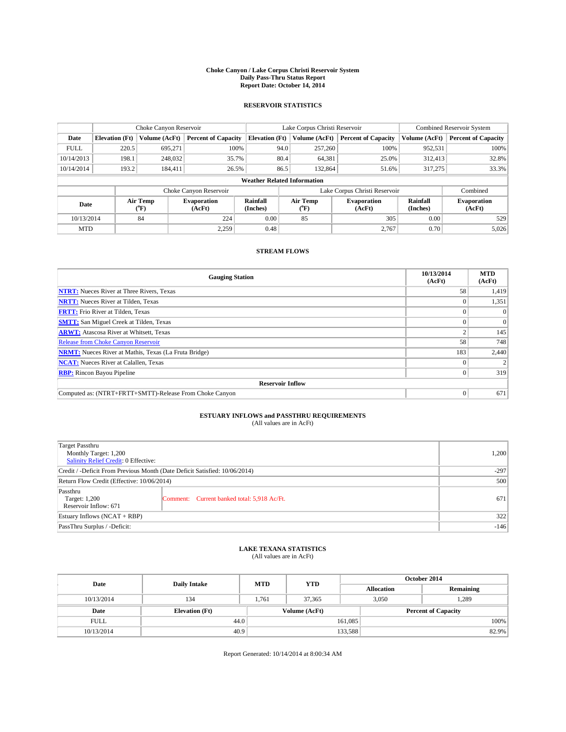#### **Choke Canyon / Lake Corpus Christi Reservoir System Daily Pass-Thru Status Report Report Date: October 14, 2014**

### **RESERVOIR STATISTICS**

|             |                       | Choke Canyon Reservoir |                              |                                    | Lake Corpus Christi Reservoir | Combined Reservoir System    |                      |                              |
|-------------|-----------------------|------------------------|------------------------------|------------------------------------|-------------------------------|------------------------------|----------------------|------------------------------|
| Date        | <b>Elevation</b> (Ft) | Volume (AcFt)          | <b>Percent of Capacity</b>   | <b>Elevation (Ft)</b>              | Volume (AcFt)                 | <b>Percent of Capacity</b>   | Volume (AcFt)        | <b>Percent of Capacity</b>   |
| <b>FULL</b> | 220.5                 | 695.271                | 100%                         | 94.0                               | 257,260                       | 100%                         | 952,531              | 100%                         |
| 10/14/2013  | 198.1                 | 248,032                | 35.7%                        | 80.4                               | 64,381                        | 25.0%                        | 312,413              | 32.8%                        |
| 10/14/2014  | 193.2                 | 184.411                | 26.5%                        | 86.5                               | 132,864                       | 51.6%                        | 317,275              | 33.3%                        |
|             |                       |                        |                              | <b>Weather Related Information</b> |                               |                              |                      |                              |
|             |                       |                        | Choke Canyon Reservoir       |                                    | Lake Corpus Christi Reservoir |                              |                      |                              |
| Date        |                       | Air Temp<br>(°F)       | <b>Evaporation</b><br>(AcFt) | Rainfall<br>(Inches)               | Air Temp<br>(°F)              | <b>Evaporation</b><br>(AcFt) | Rainfall<br>(Inches) | <b>Evaporation</b><br>(AcFt) |
| 10/13/2014  |                       | 84                     | 224                          | 0.00                               | 85                            | 305                          | 0.00                 | 529                          |
| <b>MTD</b>  |                       |                        | 2,259                        | 0.48                               |                               | 2.767                        | 0.70                 | 5,026                        |

### **STREAM FLOWS**

| <b>Gauging Station</b>                                       | 10/13/2014<br>(AcFt) | <b>MTD</b><br>(AcFt) |
|--------------------------------------------------------------|----------------------|----------------------|
| <b>NTRT:</b> Nueces River at Three Rivers, Texas             | 58                   | 1,419                |
| <b>NRTT:</b> Nueces River at Tilden, Texas                   |                      | 1,351                |
| <b>FRTT:</b> Frio River at Tilden, Texas                     |                      | $\Omega$             |
| <b>SMTT:</b> San Miguel Creek at Tilden, Texas               |                      | $\Omega$             |
| <b>ARWT:</b> Atascosa River at Whitsett, Texas               |                      | 145                  |
| <b>Release from Choke Canyon Reservoir</b>                   | 58                   | 748                  |
| <b>NRMT:</b> Nueces River at Mathis, Texas (La Fruta Bridge) | 183                  | 2,440                |
| <b>NCAT:</b> Nueces River at Calallen, Texas                 |                      |                      |
| <b>RBP:</b> Rincon Bayou Pipeline                            | 0                    | 319                  |
| <b>Reservoir Inflow</b>                                      |                      |                      |
| Computed as: (NTRT+FRTT+SMTT)-Release From Choke Canyon      | $\Omega$             | 671                  |

# **ESTUARY INFLOWS and PASSTHRU REQUIREMENTS**<br>(All values are in AcFt)

| <b>Target Passthru</b><br>Monthly Target: 1,200<br>Salinity Relief Credit: 0 Effective: |                                             |     |  |
|-----------------------------------------------------------------------------------------|---------------------------------------------|-----|--|
| Credit / -Deficit From Previous Month (Date Deficit Satisfied: 10/06/2014)              |                                             |     |  |
| Return Flow Credit (Effective: 10/06/2014)                                              |                                             |     |  |
| Passthru<br>Target: 1,200<br>Reservoir Inflow: 671                                      | Comment: Current banked total: 5,918 Ac/Ft. | 671 |  |
| Estuary Inflows (NCAT + RBP)                                                            |                                             |     |  |
| PassThru Surplus / -Deficit:                                                            | $-146$                                      |     |  |

# **LAKE TEXANA STATISTICS** (All values are in AcFt)

| Date        | <b>Daily Intake</b>   | <b>MTD</b> | <b>YTD</b>    | October 2014 |                            |           |       |
|-------------|-----------------------|------------|---------------|--------------|----------------------------|-----------|-------|
|             |                       |            |               |              | <b>Allocation</b>          | Remaining |       |
| 10/13/2014  | 134                   | 1.761      | 37,365        |              | 1,289<br>3,050             |           |       |
| Date        | <b>Elevation</b> (Ft) |            | Volume (AcFt) |              | <b>Percent of Capacity</b> |           |       |
| <b>FULL</b> | 44.0                  |            |               | 161,085      |                            |           | 100%  |
| 10/13/2014  | 40.9                  |            |               | 133,588      |                            |           | 82.9% |

Report Generated: 10/14/2014 at 8:00:34 AM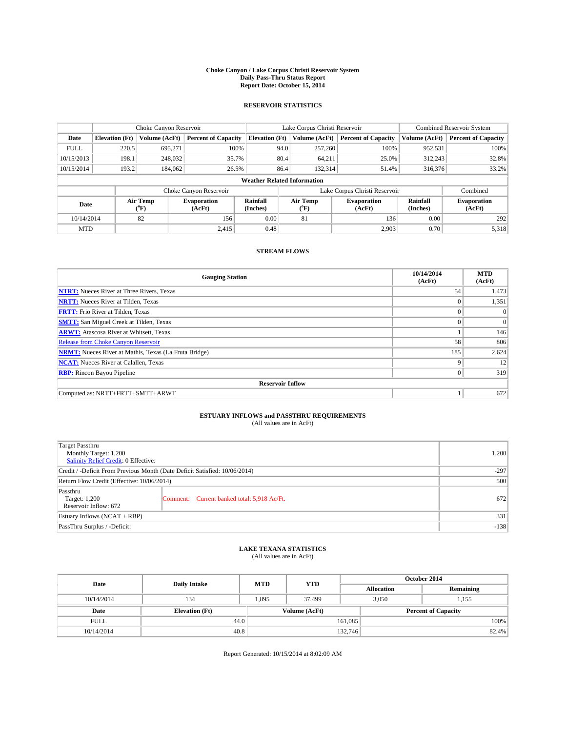#### **Choke Canyon / Lake Corpus Christi Reservoir System Daily Pass-Thru Status Report Report Date: October 15, 2014**

### **RESERVOIR STATISTICS**

|             | Choke Canyon Reservoir             |                  | Lake Corpus Christi Reservoir |                       |                               |               | Combined Reservoir System    |                      |                              |  |
|-------------|------------------------------------|------------------|-------------------------------|-----------------------|-------------------------------|---------------|------------------------------|----------------------|------------------------------|--|
| Date        | <b>Elevation</b> (Ft)              | Volume (AcFt)    | <b>Percent of Capacity</b>    | <b>Elevation (Ft)</b> |                               | Volume (AcFt) | <b>Percent of Capacity</b>   | Volume (AcFt)        | <b>Percent of Capacity</b>   |  |
| <b>FULL</b> | 220.5                              | 695.271          | 100%                          |                       | 94.0                          | 257,260       | 100%                         | 952,531              | 100%                         |  |
| 10/15/2013  | 198.1                              | 248,032          | 35.7%                         |                       | 80.4                          | 64,211        | 25.0%                        | 312,243              | 32.8%                        |  |
| 10/15/2014  | 193.2                              | 184,062          | 26.5%                         |                       | 86.4                          | 132.314       | 51.4%                        | 316,376              | 33.2%                        |  |
|             | <b>Weather Related Information</b> |                  |                               |                       |                               |               |                              |                      |                              |  |
|             |                                    |                  | Choke Canyon Reservoir        |                       | Lake Corpus Christi Reservoir |               |                              |                      | Combined                     |  |
| Date        |                                    | Air Temp<br>(°F) | <b>Evaporation</b><br>(AcFt)  | Rainfall<br>(Inches)  | Air Temp<br>(°F)              |               | <b>Evaporation</b><br>(AcFt) | Rainfall<br>(Inches) | <b>Evaporation</b><br>(AcFt) |  |
| 10/14/2014  |                                    | 82               | 156                           | 0.00                  |                               | 81            | 136                          | 0.00                 | 292                          |  |
| <b>MTD</b>  |                                    |                  | 2.415                         | 0.48                  |                               |               | 2,903                        | 0.70                 | 5,318                        |  |

### **STREAM FLOWS**

| <b>Gauging Station</b>                                       | 10/14/2014<br>(AcFt) | <b>MTD</b><br>(AcFt) |
|--------------------------------------------------------------|----------------------|----------------------|
| <b>NTRT:</b> Nueces River at Three Rivers, Texas             | 54                   | 1,473                |
| <b>NRTT:</b> Nueces River at Tilden, Texas                   | $\theta$             | 1,351                |
| <b>FRTT:</b> Frio River at Tilden, Texas                     |                      | $\Omega$             |
| <b>SMTT:</b> San Miguel Creek at Tilden, Texas               | $\theta$             | $\overline{0}$       |
| <b>ARWT:</b> Atascosa River at Whitsett, Texas               |                      | 146                  |
| <b>Release from Choke Canyon Reservoir</b>                   | 58                   | 806                  |
| <b>NRMT:</b> Nueces River at Mathis, Texas (La Fruta Bridge) | 185                  | 2,624                |
| <b>NCAT:</b> Nueces River at Calallen, Texas                 | $\mathbf Q$          | 12                   |
| <b>RBP:</b> Rincon Bayou Pipeline                            | $\Omega$             | 319                  |
| <b>Reservoir Inflow</b>                                      |                      |                      |
| Computed as: NRTT+FRTT+SMTT+ARWT                             |                      | 672                  |

# **ESTUARY INFLOWS and PASSTHRU REQUIREMENTS**<br>(All values are in AcFt)

| Target Passthru<br>Monthly Target: 1,200<br>Salinity Relief Credit: 0 Effective: |                                             | 1,200 |  |  |
|----------------------------------------------------------------------------------|---------------------------------------------|-------|--|--|
| Credit / -Deficit From Previous Month (Date Deficit Satisfied: 10/06/2014)       |                                             |       |  |  |
| Return Flow Credit (Effective: 10/06/2014)                                       |                                             |       |  |  |
| Passthru<br>Target: 1,200<br>Reservoir Inflow: 672                               | Comment: Current banked total: 5,918 Ac/Ft. | 672   |  |  |
| Estuary Inflows $(NCAT + RBP)$                                                   |                                             |       |  |  |
| PassThru Surplus / -Deficit:                                                     |                                             |       |  |  |

## **LAKE TEXANA STATISTICS** (All values are in AcFt)

| Date        | <b>Daily Intake</b>   | <b>MTD</b> | <b>YTD</b>    | October 2014 |                            |           |       |
|-------------|-----------------------|------------|---------------|--------------|----------------------------|-----------|-------|
|             |                       |            |               |              | <b>Allocation</b>          | Remaining |       |
| 10/14/2014  | 134                   | 1.895      | 37.499        |              | 3,050<br>1,155             |           |       |
| Date        | <b>Elevation</b> (Ft) |            | Volume (AcFt) |              | <b>Percent of Capacity</b> |           |       |
| <b>FULL</b> | 44.0                  |            |               | 161,085      |                            |           | 100%  |
| 10/14/2014  | 40.8                  |            |               | 132,746      |                            |           | 82.4% |

Report Generated: 10/15/2014 at 8:02:09 AM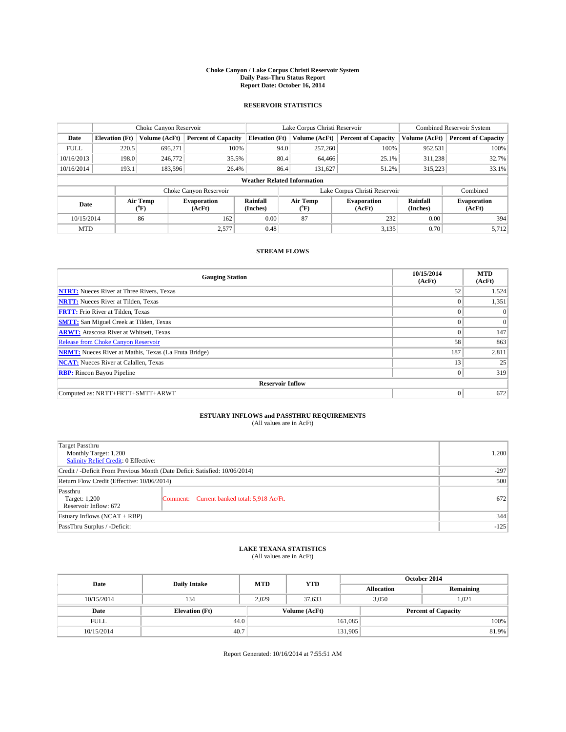#### **Choke Canyon / Lake Corpus Christi Reservoir System Daily Pass-Thru Status Report Report Date: October 16, 2014**

### **RESERVOIR STATISTICS**

|             |                                    | Choke Canyon Reservoir |                              |                       | Lake Corpus Christi Reservoir | <b>Combined Reservoir System</b> |                      |                              |  |
|-------------|------------------------------------|------------------------|------------------------------|-----------------------|-------------------------------|----------------------------------|----------------------|------------------------------|--|
| Date        | <b>Elevation</b> (Ft)              | Volume (AcFt)          | <b>Percent of Capacity</b>   | <b>Elevation (Ft)</b> | Volume (AcFt)                 | <b>Percent of Capacity</b>       | Volume (AcFt)        | <b>Percent of Capacity</b>   |  |
| <b>FULL</b> | 220.5                              | 695,271                | 100%                         | 94.0                  | 257,260                       | 100%                             | 952,531              | 100%                         |  |
| 10/16/2013  | 198.0                              | 246,772                | 35.5%                        | 80.4                  | 64,466                        | 25.1%                            | 311,238              | 32.7%                        |  |
| 10/16/2014  | 193.1                              | 183,596                | 26.4%                        | 86.4                  | 131.627                       | 51.2%                            | 315,223              | 33.1%                        |  |
|             | <b>Weather Related Information</b> |                        |                              |                       |                               |                                  |                      |                              |  |
|             |                                    |                        | Choke Canyon Reservoir       |                       |                               | Lake Corpus Christi Reservoir    |                      | Combined                     |  |
| Date        |                                    | Air Temp<br>(°F)       | <b>Evaporation</b><br>(AcFt) | Rainfall<br>(Inches)  | Air Temp<br>(°F)              | <b>Evaporation</b><br>(AcFt)     | Rainfall<br>(Inches) | <b>Evaporation</b><br>(AcFt) |  |
| 10/15/2014  |                                    | 86                     | 162                          | 0.00                  | 87                            | 232                              | 0.00                 | 394                          |  |
| <b>MTD</b>  |                                    |                        | 2,577                        | 0.48                  |                               | 3,135                            | 0.70                 | 5,712                        |  |

### **STREAM FLOWS**

| <b>Gauging Station</b>                                       | 10/15/2014<br>(AcFt) | <b>MTD</b><br>(AcFt) |  |  |  |  |
|--------------------------------------------------------------|----------------------|----------------------|--|--|--|--|
| <b>NTRT:</b> Nueces River at Three Rivers, Texas             | 52                   | 1,524                |  |  |  |  |
| <b>NRTT:</b> Nueces River at Tilden, Texas                   | $\theta$             | 1,351                |  |  |  |  |
| <b>FRTT:</b> Frio River at Tilden, Texas                     |                      | $\Omega$             |  |  |  |  |
| <b>SMTT:</b> San Miguel Creek at Tilden, Texas               | $\theta$             | $\overline{0}$       |  |  |  |  |
| <b>ARWT:</b> Atascosa River at Whitsett, Texas               | $\theta$             | 147                  |  |  |  |  |
| <b>Release from Choke Canyon Reservoir</b>                   | 58                   | 863                  |  |  |  |  |
| <b>NRMT:</b> Nueces River at Mathis, Texas (La Fruta Bridge) | 187                  | 2,811                |  |  |  |  |
| <b>NCAT:</b> Nueces River at Calallen, Texas                 | 13                   | 25                   |  |  |  |  |
| <b>RBP:</b> Rincon Bayou Pipeline                            | $\Omega$             | 319                  |  |  |  |  |
| <b>Reservoir Inflow</b>                                      |                      |                      |  |  |  |  |
| Computed as: NRTT+FRTT+SMTT+ARWT                             | $\Omega$             | 672                  |  |  |  |  |

# **ESTUARY INFLOWS and PASSTHRU REQUIREMENTS**<br>(All values are in AcFt)

| Target Passthru<br>Monthly Target: 1,200<br>Salinity Relief Credit: 0 Effective: | 1,200                                       |     |
|----------------------------------------------------------------------------------|---------------------------------------------|-----|
| Credit / -Deficit From Previous Month (Date Deficit Satisfied: 10/06/2014)       | $-297$                                      |     |
| Return Flow Credit (Effective: 10/06/2014)                                       | 500                                         |     |
| Passthru<br>Target: 1,200<br>Reservoir Inflow: 672                               | Comment: Current banked total: 5,918 Ac/Ft. | 672 |
| Estuary Inflows (NCAT + RBP)                                                     | 344                                         |     |
| PassThru Surplus / -Deficit:                                                     | $-125$                                      |     |

# **LAKE TEXANA STATISTICS** (All values are in AcFt)

| Date        | <b>Daily Intake</b>   | <b>MTD</b> | <b>YTD</b>    | October 2014      |                            |           |  |
|-------------|-----------------------|------------|---------------|-------------------|----------------------------|-----------|--|
|             |                       |            |               | <b>Allocation</b> |                            | Remaining |  |
| 10/15/2014  | 134                   | 2,029      | 37.633        |                   | 3,050<br>1,021             |           |  |
| Date        | <b>Elevation</b> (Ft) |            | Volume (AcFt) |                   | <b>Percent of Capacity</b> |           |  |
| <b>FULL</b> | 44.0                  |            |               | 161,085           |                            | 100%      |  |
| 10/15/2014  | 40.7                  |            |               | 131,905           |                            | 81.9%     |  |

Report Generated: 10/16/2014 at 7:55:51 AM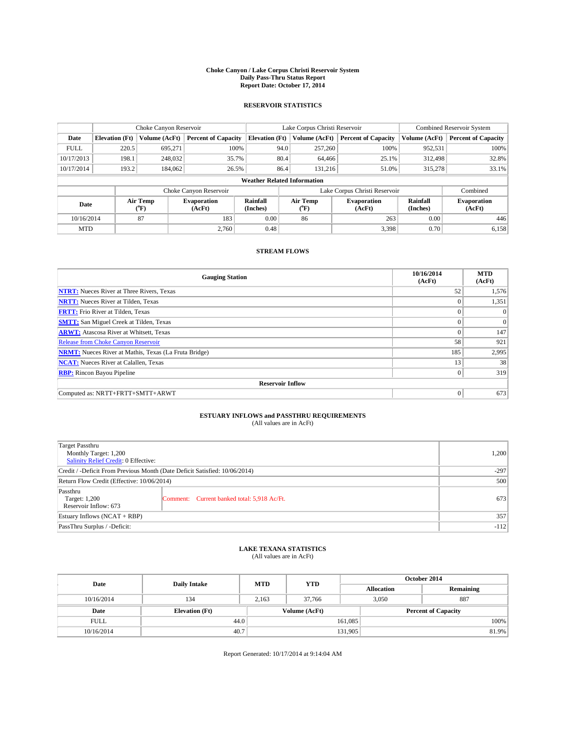#### **Choke Canyon / Lake Corpus Christi Reservoir System Daily Pass-Thru Status Report Report Date: October 17, 2014**

### **RESERVOIR STATISTICS**

|             |                       | Choke Canyon Reservoir |                              |                                    | Lake Corpus Christi Reservoir | Combined Reservoir System     |                      |                              |
|-------------|-----------------------|------------------------|------------------------------|------------------------------------|-------------------------------|-------------------------------|----------------------|------------------------------|
| Date        | <b>Elevation</b> (Ft) | Volume (AcFt)          | <b>Percent of Capacity</b>   | <b>Elevation (Ft)</b>              | Volume (AcFt)                 | <b>Percent of Capacity</b>    | Volume (AcFt)        | <b>Percent of Capacity</b>   |
| <b>FULL</b> | 220.5                 | 695.271                | 100%                         | 94.0                               | 257,260                       | 100%                          | 952,531              | 100%                         |
| 10/17/2013  | 198.1                 | 248,032                | 35.7%                        | 80.4                               | 64,466                        | 25.1%                         | 312,498              | 32.8%                        |
| 10/17/2014  | 193.2                 | 184,062                | 26.5%                        | 86.4                               | 131.216                       | 51.0%                         | 315,278              | 33.1%                        |
|             |                       |                        |                              | <b>Weather Related Information</b> |                               |                               |                      |                              |
|             |                       |                        | Choke Canyon Reservoir       |                                    |                               | Lake Corpus Christi Reservoir |                      | Combined                     |
| Date        |                       | Air Temp<br>(°F)       | <b>Evaporation</b><br>(AcFt) | Rainfall<br>(Inches)               | Air Temp<br>(°F)              | <b>Evaporation</b><br>(AcFt)  | Rainfall<br>(Inches) | <b>Evaporation</b><br>(AcFt) |
| 10/16/2014  |                       | 87                     | 183                          | 0.00                               | 86                            | 263                           | 0.00                 | 446                          |
| <b>MTD</b>  |                       |                        | 2.760                        | 0.48                               | 3,398                         |                               | 0.70                 | 6,158                        |

### **STREAM FLOWS**

| <b>Gauging Station</b>                                       | 10/16/2014<br>(AcFt) | <b>MTD</b><br>(AcFt) |  |  |  |  |
|--------------------------------------------------------------|----------------------|----------------------|--|--|--|--|
| <b>NTRT:</b> Nueces River at Three Rivers, Texas             | 52                   | 1,576                |  |  |  |  |
| <b>NRTT:</b> Nueces River at Tilden, Texas                   | $\theta$             | 1,351                |  |  |  |  |
| <b>FRTT:</b> Frio River at Tilden, Texas                     |                      | $\Omega$             |  |  |  |  |
| <b>SMTT:</b> San Miguel Creek at Tilden, Texas               | $\theta$             | $\Omega$             |  |  |  |  |
| <b>ARWT:</b> Atascosa River at Whitsett, Texas               | $\theta$             | 147                  |  |  |  |  |
| <b>Release from Choke Canyon Reservoir</b>                   | 58                   | 921                  |  |  |  |  |
| <b>NRMT:</b> Nueces River at Mathis, Texas (La Fruta Bridge) | 185                  | 2,995                |  |  |  |  |
| <b>NCAT:</b> Nueces River at Calallen, Texas                 | 13                   | 38                   |  |  |  |  |
| <b>RBP:</b> Rincon Bayou Pipeline                            | $\mathbf{0}$         | 319                  |  |  |  |  |
| <b>Reservoir Inflow</b>                                      |                      |                      |  |  |  |  |
| Computed as: NRTT+FRTT+SMTT+ARWT                             | $\Omega$             | 673                  |  |  |  |  |

# **ESTUARY INFLOWS and PASSTHRU REQUIREMENTS**<br>(All values are in AcFt)

| <b>Target Passthru</b><br>Monthly Target: 1,200<br>Salinity Relief Credit: 0 Effective: |                                             | 1,200 |
|-----------------------------------------------------------------------------------------|---------------------------------------------|-------|
| Credit / -Deficit From Previous Month (Date Deficit Satisfied: 10/06/2014)              | $-297$                                      |       |
| Return Flow Credit (Effective: 10/06/2014)                                              | 500                                         |       |
| Passthru<br>Target: 1,200<br>Reservoir Inflow: 673                                      | Comment: Current banked total: 5,918 Ac/Ft. | 673   |
| Estuary Inflows (NCAT + RBP)                                                            | 357                                         |       |
| PassThru Surplus / -Deficit:                                                            | $-112$                                      |       |

# **LAKE TEXANA STATISTICS** (All values are in AcFt)

| Date        | <b>Daily Intake</b>   | <b>MTD</b> | <b>YTD</b>    | October 2014      |                            |           |       |
|-------------|-----------------------|------------|---------------|-------------------|----------------------------|-----------|-------|
|             |                       |            |               | <b>Allocation</b> |                            | Remaining |       |
| 10/16/2014  | 134                   | 2,163      | 37,766        |                   | 887<br>3,050               |           |       |
| Date        | <b>Elevation</b> (Ft) |            | Volume (AcFt) |                   | <b>Percent of Capacity</b> |           |       |
| <b>FULL</b> | 44.0                  |            |               | 161,085           |                            |           | 100%  |
| 10/16/2014  | 40.7                  |            |               | 131,905           |                            |           | 81.9% |

Report Generated: 10/17/2014 at 9:14:04 AM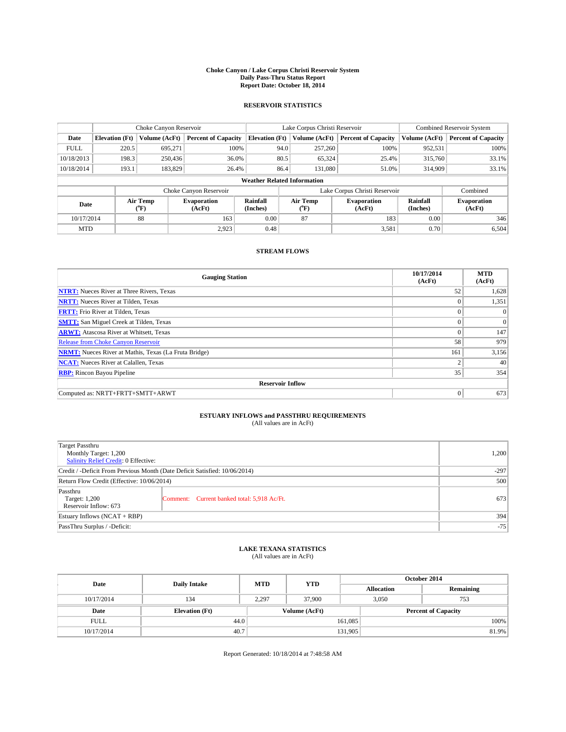#### **Choke Canyon / Lake Corpus Christi Reservoir System Daily Pass-Thru Status Report Report Date: October 18, 2014**

### **RESERVOIR STATISTICS**

|             |                                    | Choke Canyon Reservoir |                              |                       | Lake Corpus Christi Reservoir | <b>Combined Reservoir System</b> |               |                              |  |
|-------------|------------------------------------|------------------------|------------------------------|-----------------------|-------------------------------|----------------------------------|---------------|------------------------------|--|
| Date        | <b>Elevation</b> (Ft)              | Volume (AcFt)          | <b>Percent of Capacity</b>   | <b>Elevation (Ft)</b> | Volume (AcFt)                 | <b>Percent of Capacity</b>       | Volume (AcFt) | <b>Percent of Capacity</b>   |  |
| <b>FULL</b> | 220.5                              | 695,271                | 100%                         | 94.0                  | 257,260                       | 100%                             | 952,531       | 100%                         |  |
| 10/18/2013  | 198.3                              | 250,436                | 36.0%                        | 80.5                  | 65,324                        | 25.4%                            | 315,760       | 33.1%                        |  |
| 10/18/2014  | 193.1                              | 183,829                | 26.4%                        | 86.4                  | 131,080                       | 51.0%                            | 314,909       | 33.1%                        |  |
|             | <b>Weather Related Information</b> |                        |                              |                       |                               |                                  |               |                              |  |
|             |                                    |                        | Choke Canyon Reservoir       |                       |                               | Lake Corpus Christi Reservoir    |               | Combined                     |  |
| Date        |                                    | Air Temp<br>(°F)       | <b>Evaporation</b><br>(AcFt) | Rainfall<br>(Inches)  | Air Temp<br>(°F)              | <b>Evaporation</b><br>(AcFt)     |               | <b>Evaporation</b><br>(AcFt) |  |
| 10/17/2014  |                                    | 88                     | 163                          | 0.00                  | 87                            | 183                              | 0.00          | 346                          |  |
|             | 2.923<br><b>MTD</b>                |                        | 0.48                         |                       | 3,581                         | 0.70                             | 6,504         |                              |  |

### **STREAM FLOWS**

| <b>Gauging Station</b>                                       | 10/17/2014<br>(AcFt) | <b>MTD</b><br>(AcFt) |  |  |  |  |
|--------------------------------------------------------------|----------------------|----------------------|--|--|--|--|
| <b>NTRT:</b> Nueces River at Three Rivers, Texas             | 52                   | 1,628                |  |  |  |  |
| <b>NRTT:</b> Nueces River at Tilden, Texas                   | $\theta$             | 1,351                |  |  |  |  |
| <b>FRTT:</b> Frio River at Tilden, Texas                     |                      | $\Omega$             |  |  |  |  |
| <b>SMTT:</b> San Miguel Creek at Tilden, Texas               |                      | $\Omega$             |  |  |  |  |
| <b>ARWT:</b> Atascosa River at Whitsett, Texas               | $\Omega$             | 147                  |  |  |  |  |
| Release from Choke Canyon Reservoir                          | 58                   | 979                  |  |  |  |  |
| <b>NRMT:</b> Nueces River at Mathis, Texas (La Fruta Bridge) | 161                  | 3,156                |  |  |  |  |
| <b>NCAT:</b> Nueces River at Calallen, Texas                 | ◠                    | 40                   |  |  |  |  |
| <b>RBP:</b> Rincon Bayou Pipeline                            | 35                   | 354                  |  |  |  |  |
| <b>Reservoir Inflow</b>                                      |                      |                      |  |  |  |  |
| Computed as: NRTT+FRTT+SMTT+ARWT                             | $\theta$             | 673                  |  |  |  |  |

# **ESTUARY INFLOWS and PASSTHRU REQUIREMENTS**<br>(All values are in AcFt)

| Target Passthru<br>Monthly Target: 1,200<br>Salinity Relief Credit: 0 Effective: | 1,200                                       |     |
|----------------------------------------------------------------------------------|---------------------------------------------|-----|
| Credit / -Deficit From Previous Month (Date Deficit Satisfied: 10/06/2014)       | $-297$                                      |     |
| Return Flow Credit (Effective: 10/06/2014)                                       | 500                                         |     |
| Passthru<br>Target: 1,200<br>Reservoir Inflow: 673                               | Comment: Current banked total: 5,918 Ac/Ft. | 673 |
| Estuary Inflows (NCAT + RBP)                                                     | 394                                         |     |
| PassThru Surplus / -Deficit:                                                     | $-75$                                       |     |

## **LAKE TEXANA STATISTICS** (All values are in AcFt)

| Date        | <b>Daily Intake</b>   | <b>MTD</b> | <b>YTD</b>    | October 2014      |                            |           |  |
|-------------|-----------------------|------------|---------------|-------------------|----------------------------|-----------|--|
|             |                       |            |               | <b>Allocation</b> |                            | Remaining |  |
| 10/17/2014  | 134                   | 2,297      | 37,900        |                   | 3,050<br>753               |           |  |
| Date        | <b>Elevation</b> (Ft) |            | Volume (AcFt) |                   | <b>Percent of Capacity</b> |           |  |
| <b>FULL</b> | 44.0                  |            |               | 161,085           |                            | 100%      |  |
| 10/17/2014  | 40.7                  |            |               | 131,905           |                            | 81.9%     |  |

Report Generated: 10/18/2014 at 7:48:58 AM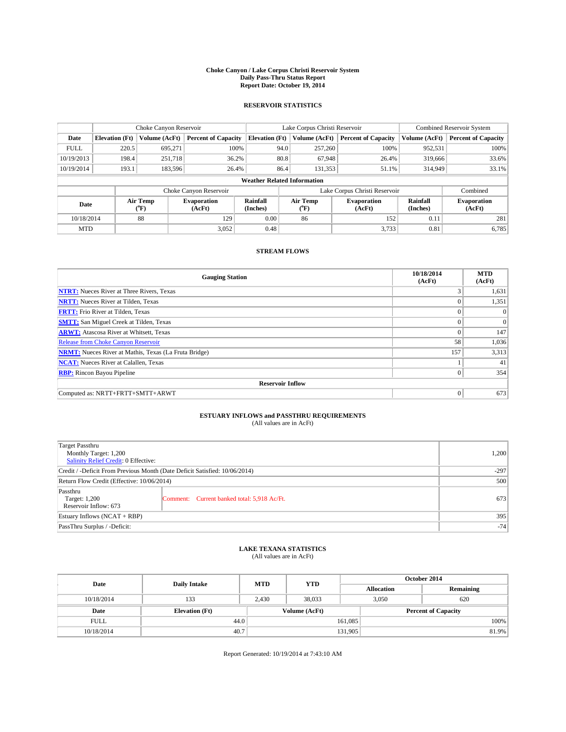#### **Choke Canyon / Lake Corpus Christi Reservoir System Daily Pass-Thru Status Report Report Date: October 19, 2014**

### **RESERVOIR STATISTICS**

|             |                       | Choke Canyon Reservoir |                              |                                    | Lake Corpus Christi Reservoir | <b>Combined Reservoir System</b> |               |                              |
|-------------|-----------------------|------------------------|------------------------------|------------------------------------|-------------------------------|----------------------------------|---------------|------------------------------|
| Date        | <b>Elevation</b> (Ft) | Volume (AcFt)          | <b>Percent of Capacity</b>   | <b>Elevation (Ft)</b>              | Volume (AcFt)                 | <b>Percent of Capacity</b>       | Volume (AcFt) | <b>Percent of Capacity</b>   |
| <b>FULL</b> | 220.5                 | 695,271                | 100%                         | 94.0                               | 257,260                       | 100%                             | 952,531       | 100%                         |
| 10/19/2013  | 198.4                 | 251,718                | 36.2%                        | 80.8                               | 67,948                        | 26.4%                            | 319,666       | 33.6%                        |
| 10/19/2014  | 193.1                 | 183,596                | 26.4%                        | 86.4                               | 131.353                       | 51.1%                            | 314,949       | 33.1%                        |
|             |                       |                        |                              | <b>Weather Related Information</b> |                               |                                  |               |                              |
|             |                       |                        | Choke Canyon Reservoir       |                                    | Lake Corpus Christi Reservoir |                                  | Combined      |                              |
| Date        |                       | Air Temp<br>(°F)       | <b>Evaporation</b><br>(AcFt) | Rainfall<br>(Inches)               | Air Temp<br>(°F)              | <b>Evaporation</b><br>(AcFt)     |               | <b>Evaporation</b><br>(AcFt) |
| 10/18/2014  |                       | 88                     | 129                          | 0.00                               | 86                            | 152                              | 0.11          | 281                          |
| <b>MTD</b>  |                       |                        | 3.052                        | 0.48                               |                               | 3,733                            | 0.81          | 6,785                        |

### **STREAM FLOWS**

| <b>Gauging Station</b>                                       | 10/18/2014<br>(AcFt) | <b>MTD</b><br>(AcFt) |
|--------------------------------------------------------------|----------------------|----------------------|
| <b>NTRT:</b> Nueces River at Three Rivers, Texas             | 3                    | 1,631                |
| <b>NRTT:</b> Nueces River at Tilden, Texas                   |                      | 1,351                |
| <b>FRTT:</b> Frio River at Tilden, Texas                     |                      | $\Omega$             |
| <b>SMTT:</b> San Miguel Creek at Tilden, Texas               |                      | $\Omega$             |
| <b>ARWT:</b> Atascosa River at Whitsett, Texas               | $\Omega$             | 147                  |
| Release from Choke Canyon Reservoir                          | 58                   | 1,036                |
| <b>NRMT:</b> Nueces River at Mathis, Texas (La Fruta Bridge) | 157                  | 3,313                |
| <b>NCAT:</b> Nueces River at Calallen, Texas                 |                      | 41                   |
| <b>RBP:</b> Rincon Bayou Pipeline                            | $\Omega$             | 354                  |
| <b>Reservoir Inflow</b>                                      |                      |                      |
| Computed as: NRTT+FRTT+SMTT+ARWT                             | $\theta$             | 673                  |

# **ESTUARY INFLOWS and PASSTHRU REQUIREMENTS**<br>(All values are in AcFt)

| Target Passthru<br>Monthly Target: 1,200<br>Salinity Relief Credit: 0 Effective: |                                             | 1,200 |  |  |
|----------------------------------------------------------------------------------|---------------------------------------------|-------|--|--|
| Credit / -Deficit From Previous Month (Date Deficit Satisfied: 10/06/2014)       |                                             |       |  |  |
| Return Flow Credit (Effective: 10/06/2014)                                       |                                             |       |  |  |
| Passthru<br>Target: 1,200<br>Reservoir Inflow: 673                               | Comment: Current banked total: 5,918 Ac/Ft. | 673   |  |  |
| Estuary Inflows (NCAT + RBP)                                                     | 395                                         |       |  |  |
| PassThru Surplus / -Deficit:                                                     | $-74$                                       |       |  |  |

## **LAKE TEXANA STATISTICS** (All values are in AcFt)

| Date        | <b>Daily Intake</b>   | <b>MTD</b> | <b>YTD</b>    | October 2014      |                            |           |  |
|-------------|-----------------------|------------|---------------|-------------------|----------------------------|-----------|--|
|             |                       |            |               | <b>Allocation</b> |                            | Remaining |  |
| 10/18/2014  | 133                   | 2,430      | 38,033        |                   | 3,050<br>620               |           |  |
| Date        | <b>Elevation</b> (Ft) |            | Volume (AcFt) |                   | <b>Percent of Capacity</b> |           |  |
| <b>FULL</b> | 44.0                  |            |               | 161,085           |                            | 100%      |  |
| 10/18/2014  | 40.7                  |            |               | 131,905           |                            | 81.9%     |  |

Report Generated: 10/19/2014 at 7:43:10 AM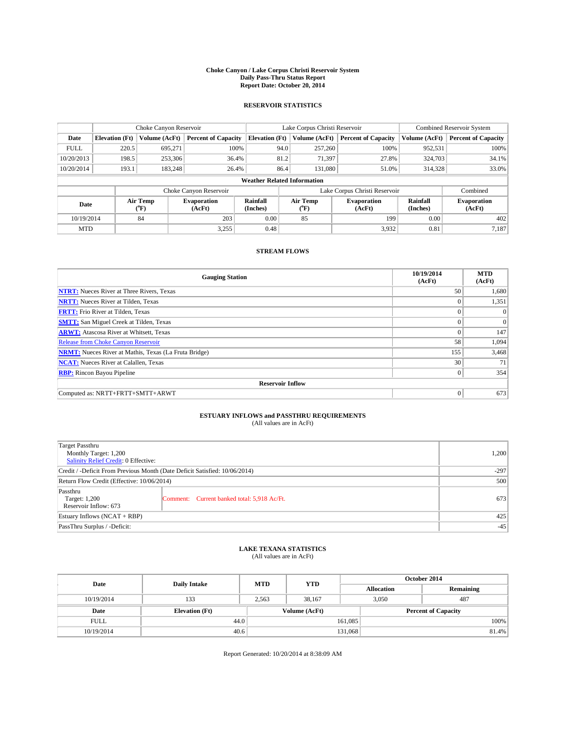#### **Choke Canyon / Lake Corpus Christi Reservoir System Daily Pass-Thru Status Report Report Date: October 20, 2014**

### **RESERVOIR STATISTICS**

|             |                       | Choke Canyon Reservoir |                              |                                    | Lake Corpus Christi Reservoir | <b>Combined Reservoir System</b> |                      |                              |
|-------------|-----------------------|------------------------|------------------------------|------------------------------------|-------------------------------|----------------------------------|----------------------|------------------------------|
| Date        | <b>Elevation</b> (Ft) | Volume (AcFt)          | <b>Percent of Capacity</b>   | <b>Elevation (Ft)</b>              | Volume (AcFt)                 | <b>Percent of Capacity</b>       | Volume (AcFt)        | <b>Percent of Capacity</b>   |
| <b>FULL</b> | 220.5                 | 695,271                | 100%                         | 94.0                               | 257,260                       | 100%                             | 952,531              | 100%                         |
| 10/20/2013  | 198.5                 | 253,306                | 36.4%                        | 81.2                               | 71,397                        | 27.8%                            | 324,703              | 34.1%                        |
| 10/20/2014  | 193.1                 | 183,248                | 26.4%                        | 86.4                               | 131,080                       | 51.0%                            | 314,328              | 33.0%                        |
|             |                       |                        |                              | <b>Weather Related Information</b> |                               |                                  |                      |                              |
|             |                       |                        | Choke Canyon Reservoir       |                                    | Lake Corpus Christi Reservoir |                                  | Combined             |                              |
| Date        |                       | Air Temp<br>(°F)       | <b>Evaporation</b><br>(AcFt) | Rainfall<br>(Inches)               | Air Temp<br>(°F)              | <b>Evaporation</b><br>(AcFt)     | Rainfall<br>(Inches) | <b>Evaporation</b><br>(AcFt) |
| 10/19/2014  |                       | 84                     | 203                          | 0.00                               | 85                            | 199                              | 0.00                 | 402                          |
| <b>MTD</b>  |                       |                        | 3.255                        | 0.48                               |                               | 3,932                            | 0.81                 | 7,187                        |

### **STREAM FLOWS**

| <b>Gauging Station</b>                                       | 10/19/2014<br>(AcFt) | <b>MTD</b><br>(AcFt) |
|--------------------------------------------------------------|----------------------|----------------------|
| <b>NTRT:</b> Nueces River at Three Rivers, Texas             | 50                   | 1,680                |
| <b>NRTT:</b> Nueces River at Tilden, Texas                   | $\theta$             | 1,351                |
| <b>FRTT:</b> Frio River at Tilden, Texas                     |                      | $\Omega$             |
| <b>SMTT:</b> San Miguel Creek at Tilden, Texas               | $\theta$             | $\Omega$             |
| <b>ARWT:</b> Atascosa River at Whitsett, Texas               | $\Omega$             | 147                  |
| <b>Release from Choke Canyon Reservoir</b>                   | 58                   | 1,094                |
| <b>NRMT:</b> Nueces River at Mathis, Texas (La Fruta Bridge) | 155                  | 3,468                |
| <b>NCAT:</b> Nueces River at Calallen, Texas                 | 30                   | 71                   |
| <b>RBP:</b> Rincon Bayou Pipeline                            | $\mathbf{0}$         | 354                  |
| <b>Reservoir Inflow</b>                                      |                      |                      |
| Computed as: NRTT+FRTT+SMTT+ARWT                             | $\Omega$             | 673                  |

# **ESTUARY INFLOWS and PASSTHRU REQUIREMENTS**<br>(All values are in AcFt)

| Target Passthru<br>Monthly Target: 1,200<br>Salinity Relief Credit: 0 Effective: |                                             | 1,200 |  |  |
|----------------------------------------------------------------------------------|---------------------------------------------|-------|--|--|
| Credit / -Deficit From Previous Month (Date Deficit Satisfied: 10/06/2014)       |                                             |       |  |  |
| Return Flow Credit (Effective: 10/06/2014)                                       |                                             |       |  |  |
| Passthru<br>Target: 1,200<br>Reservoir Inflow: 673                               | Comment: Current banked total: 5,918 Ac/Ft. | 673   |  |  |
| Estuary Inflows (NCAT + RBP)                                                     |                                             |       |  |  |
| PassThru Surplus / -Deficit:                                                     | $-45$                                       |       |  |  |

# **LAKE TEXANA STATISTICS** (All values are in AcFt)

| Date        | <b>Daily Intake</b>   | <b>MTD</b> | <b>YTD</b>    | October 2014      |                            |           |  |
|-------------|-----------------------|------------|---------------|-------------------|----------------------------|-----------|--|
|             |                       |            |               | <b>Allocation</b> |                            | Remaining |  |
| 10/19/2014  | 133                   | 2,563      | 38,167        |                   | 3,050<br>487               |           |  |
| Date        | <b>Elevation</b> (Ft) |            | Volume (AcFt) |                   | <b>Percent of Capacity</b> |           |  |
| <b>FULL</b> | 44.0                  |            |               | 161,085           |                            | 100%      |  |
| 10/19/2014  | 40.6                  |            |               | 131,068           |                            | 81.4%     |  |

Report Generated: 10/20/2014 at 8:38:09 AM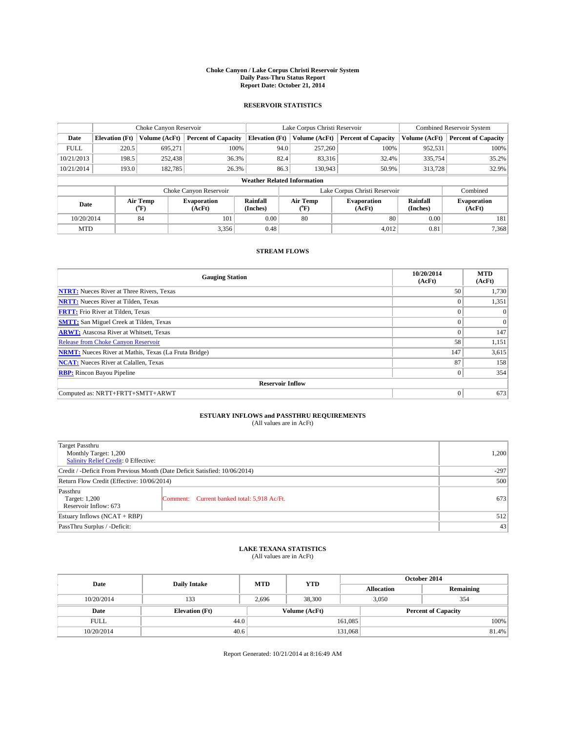#### **Choke Canyon / Lake Corpus Christi Reservoir System Daily Pass-Thru Status Report Report Date: October 21, 2014**

### **RESERVOIR STATISTICS**

|             |                       | Choke Canyon Reservoir |                              |                                    | Lake Corpus Christi Reservoir | Combined Reservoir System    |               |                              |
|-------------|-----------------------|------------------------|------------------------------|------------------------------------|-------------------------------|------------------------------|---------------|------------------------------|
| Date        | <b>Elevation</b> (Ft) | Volume (AcFt)          | <b>Percent of Capacity</b>   | <b>Elevation (Ft)</b>              | Volume (AcFt)                 | <b>Percent of Capacity</b>   | Volume (AcFt) | <b>Percent of Capacity</b>   |
| <b>FULL</b> | 220.5                 | 695.271                | 100%                         | 94.0                               | 257,260                       | 100%                         | 952,531       | 100%                         |
| 10/21/2013  | 198.5                 | 252,438                | 36.3%                        | 82.4                               | 83,316                        | 32.4%                        | 335,754       | 35.2%                        |
| 10/21/2014  | 193.0                 | 182,785                | 26.3%                        | 86.3                               | 130.943                       | 50.9%                        | 313,728       | 32.9%                        |
|             |                       |                        |                              | <b>Weather Related Information</b> |                               |                              |               |                              |
|             |                       |                        | Choke Canyon Reservoir       |                                    | Lake Corpus Christi Reservoir |                              |               |                              |
| Date        |                       | Air Temp<br>(°F)       | <b>Evaporation</b><br>(AcFt) | Rainfall<br>(Inches)               | Air Temp<br>(°F)              | <b>Evaporation</b><br>(AcFt) |               | <b>Evaporation</b><br>(AcFt) |
| 10/20/2014  |                       | 84                     | 101                          | 0.00                               | 80                            | 80                           | 0.00          | 181                          |
| <b>MTD</b>  |                       |                        | 3,356                        | 0.48                               |                               | 4,012                        | 0.81          | 7,368                        |

### **STREAM FLOWS**

| <b>Gauging Station</b>                                       | 10/20/2014<br>(AcFt) | <b>MTD</b><br>(AcFt) |
|--------------------------------------------------------------|----------------------|----------------------|
| <b>NTRT:</b> Nueces River at Three Rivers, Texas             | 50                   | 1,730                |
| <b>NRTT:</b> Nueces River at Tilden, Texas                   | $\theta$             | 1,351                |
| <b>FRTT:</b> Frio River at Tilden, Texas                     |                      | $\Omega$             |
| <b>SMTT:</b> San Miguel Creek at Tilden, Texas               | $\theta$             | $\Omega$             |
| <b>ARWT:</b> Atascosa River at Whitsett, Texas               | $\Omega$             | 147                  |
| <b>Release from Choke Canyon Reservoir</b>                   | 58                   | 1,151                |
| <b>NRMT:</b> Nueces River at Mathis, Texas (La Fruta Bridge) | 147                  | 3,615                |
| <b>NCAT:</b> Nueces River at Calallen, Texas                 | 87                   | 158                  |
| <b>RBP:</b> Rincon Bayou Pipeline                            | $\Omega$             | 354                  |
| <b>Reservoir Inflow</b>                                      |                      |                      |
| Computed as: NRTT+FRTT+SMTT+ARWT                             | $\Omega$             | 673                  |

# **ESTUARY INFLOWS and PASSTHRU REQUIREMENTS**<br>(All values are in AcFt)

| Target Passthru<br>Monthly Target: 1,200<br>Salinity Relief Credit: 0 Effective: |                                             | 1,200 |
|----------------------------------------------------------------------------------|---------------------------------------------|-------|
| Credit / -Deficit From Previous Month (Date Deficit Satisfied: 10/06/2014)       |                                             |       |
| Return Flow Credit (Effective: 10/06/2014)                                       | 500                                         |       |
| Passthru<br>Target: 1,200<br>Reservoir Inflow: 673                               | Comment: Current banked total: 5,918 Ac/Ft. | 673   |
| Estuary Inflows (NCAT + RBP)                                                     | 512                                         |       |
| PassThru Surplus / -Deficit:                                                     | 43                                          |       |

# **LAKE TEXANA STATISTICS** (All values are in AcFt)

| Date        | <b>Daily Intake</b>   | <b>MTD</b> | <b>YTD</b>    | October 2014      |                            |           |       |
|-------------|-----------------------|------------|---------------|-------------------|----------------------------|-----------|-------|
|             |                       |            |               | <b>Allocation</b> |                            | Remaining |       |
| 10/20/2014  | 133                   | 2,696      | 38,300        |                   | 3,050<br>354               |           |       |
| Date        | <b>Elevation</b> (Ft) |            | Volume (AcFt) |                   | <b>Percent of Capacity</b> |           |       |
| <b>FULL</b> | 44.0                  |            |               | 161,085           |                            |           | 100%  |
| 10/20/2014  | 40.6                  |            |               | 131,068           |                            |           | 81.4% |

Report Generated: 10/21/2014 at 8:16:49 AM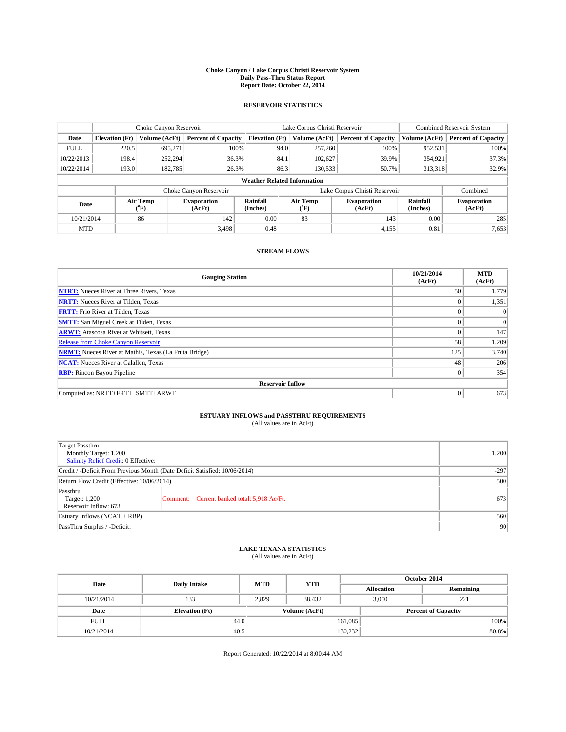#### **Choke Canyon / Lake Corpus Christi Reservoir System Daily Pass-Thru Status Report Report Date: October 22, 2014**

### **RESERVOIR STATISTICS**

|             | Choke Canyon Reservoir             |                  | Lake Corpus Christi Reservoir |                       |                               |                  | Combined Reservoir System    |                      |                              |
|-------------|------------------------------------|------------------|-------------------------------|-----------------------|-------------------------------|------------------|------------------------------|----------------------|------------------------------|
| Date        | <b>Elevation</b> (Ft)              | Volume (AcFt)    | <b>Percent of Capacity</b>    | <b>Elevation (Ft)</b> |                               | Volume (AcFt)    | <b>Percent of Capacity</b>   | Volume (AcFt)        | <b>Percent of Capacity</b>   |
| <b>FULL</b> | 220.5                              | 695.271          | 100%                          |                       | 94.0                          | 257,260          | 100%                         | 952,531              | 100%                         |
| 10/22/2013  | 198.4                              | 252,294          | 36.3%                         |                       | 84.1                          | 102,627          | 39.9%                        | 354,921              | 37.3%                        |
| 10/22/2014  | 193.0                              | 182,785          | 26.3%                         |                       | 86.3                          | 130.533          | 50.7%                        | 313,318              | 32.9%                        |
|             | <b>Weather Related Information</b> |                  |                               |                       |                               |                  |                              |                      |                              |
|             |                                    |                  | Choke Canyon Reservoir        |                       | Lake Corpus Christi Reservoir |                  |                              |                      | Combined                     |
| Date        |                                    | Air Temp<br>(°F) | <b>Evaporation</b><br>(AcFt)  | Rainfall<br>(Inches)  |                               | Air Temp<br>(°F) | <b>Evaporation</b><br>(AcFt) | Rainfall<br>(Inches) | <b>Evaporation</b><br>(AcFt) |
| 10/21/2014  |                                    | 86               | 142                           | 0.00<br>83            |                               | 143              | 0.00                         | 285                  |                              |
| <b>MTD</b>  |                                    |                  | 3.498                         | 0.48                  |                               |                  | 4,155                        | 0.81                 | 7,653                        |

### **STREAM FLOWS**

| <b>Gauging Station</b>                                       | 10/21/2014<br>(AcFt) | <b>MTD</b><br>(AcFt) |  |  |  |  |
|--------------------------------------------------------------|----------------------|----------------------|--|--|--|--|
| <b>NTRT:</b> Nueces River at Three Rivers, Texas             | 50                   | 1,779                |  |  |  |  |
| <b>NRTT:</b> Nueces River at Tilden, Texas                   | $\theta$             | 1,351                |  |  |  |  |
| <b>FRTT:</b> Frio River at Tilden, Texas                     |                      | $\Omega$             |  |  |  |  |
| <b>SMTT:</b> San Miguel Creek at Tilden, Texas               | $\theta$             | $\overline{0}$       |  |  |  |  |
| <b>ARWT:</b> Atascosa River at Whitsett, Texas               | $\Omega$             | 147                  |  |  |  |  |
| <b>Release from Choke Canyon Reservoir</b>                   | 58                   | 1,209                |  |  |  |  |
| <b>NRMT:</b> Nueces River at Mathis, Texas (La Fruta Bridge) | 125                  | 3,740                |  |  |  |  |
| <b>NCAT:</b> Nueces River at Calallen, Texas                 | 48                   | 206                  |  |  |  |  |
| <b>RBP:</b> Rincon Bayou Pipeline                            | $\mathbf{0}$         | 354                  |  |  |  |  |
| <b>Reservoir Inflow</b>                                      |                      |                      |  |  |  |  |
| Computed as: NRTT+FRTT+SMTT+ARWT                             | $\Omega$             | 673                  |  |  |  |  |

# **ESTUARY INFLOWS and PASSTHRU REQUIREMENTS**<br>(All values are in AcFt)

| <b>Target Passthru</b><br>Monthly Target: 1,200<br>Salinity Relief Credit: 0 Effective: |                                             | 1,200 |
|-----------------------------------------------------------------------------------------|---------------------------------------------|-------|
| Credit / -Deficit From Previous Month (Date Deficit Satisfied: 10/06/2014)              | $-297$                                      |       |
| Return Flow Credit (Effective: 10/06/2014)                                              | 500                                         |       |
| Passthru<br>Target: 1,200<br>Reservoir Inflow: 673                                      | Comment: Current banked total: 5,918 Ac/Ft. | 673   |
| Estuary Inflows (NCAT + RBP)                                                            | 560                                         |       |
| PassThru Surplus / -Deficit:                                                            | 90                                          |       |

# **LAKE TEXANA STATISTICS** (All values are in AcFt)

| Date        | <b>Daily Intake</b>   | <b>MTD</b> | <b>YTD</b>    | October 2014      |                            |           |  |
|-------------|-----------------------|------------|---------------|-------------------|----------------------------|-----------|--|
|             |                       |            |               | <b>Allocation</b> |                            | Remaining |  |
| 10/21/2014  | 133                   | 2,829      | 38,432        |                   | 3,050<br>221               |           |  |
| Date        | <b>Elevation</b> (Ft) |            | Volume (AcFt) |                   | <b>Percent of Capacity</b> |           |  |
| <b>FULL</b> | 44.0                  |            |               | 161,085           |                            | 100%      |  |
| 10/21/2014  | 40.5                  |            |               | 130,232           |                            | 80.8%     |  |

Report Generated: 10/22/2014 at 8:00:44 AM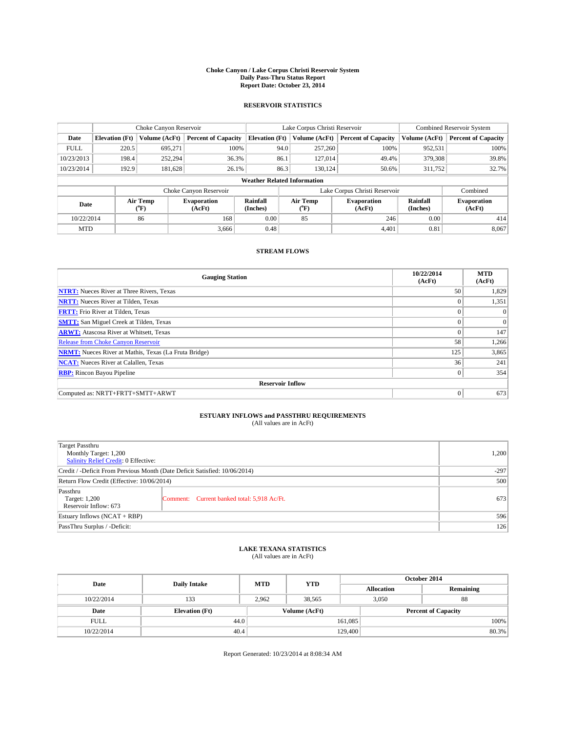#### **Choke Canyon / Lake Corpus Christi Reservoir System Daily Pass-Thru Status Report Report Date: October 23, 2014**

### **RESERVOIR STATISTICS**

|             |                                    | Choke Canyon Reservoir |                              |                       | Lake Corpus Christi Reservoir | Combined Reservoir System    |                      |                              |  |
|-------------|------------------------------------|------------------------|------------------------------|-----------------------|-------------------------------|------------------------------|----------------------|------------------------------|--|
| Date        | <b>Elevation</b> (Ft)              | Volume (AcFt)          | <b>Percent of Capacity</b>   | <b>Elevation (Ft)</b> | Volume (AcFt)                 | <b>Percent of Capacity</b>   | Volume (AcFt)        | <b>Percent of Capacity</b>   |  |
| <b>FULL</b> | 220.5                              | 695.271                | 100%                         | 94.0                  | 257,260                       | 100%                         | 952,531              | 100%                         |  |
| 10/23/2013  | 198.4                              | 252,294                | 36.3%                        | 86.1                  | 127,014                       | 49.4%                        | 379,308              | 39.8%                        |  |
| 10/23/2014  | 192.9                              | 181,628                | 26.1%                        | 86.3                  | 130.124                       | 50.6%                        | 311,752              | 32.7%                        |  |
|             | <b>Weather Related Information</b> |                        |                              |                       |                               |                              |                      |                              |  |
|             |                                    |                        | Choke Canyon Reservoir       |                       | Lake Corpus Christi Reservoir |                              | Combined             |                              |  |
| Date        |                                    | Air Temp<br>(°F)       | <b>Evaporation</b><br>(AcFt) | Rainfall<br>(Inches)  | Air Temp<br>(°F)              | <b>Evaporation</b><br>(AcFt) | Rainfall<br>(Inches) | <b>Evaporation</b><br>(AcFt) |  |
| 10/22/2014  |                                    | 86                     | 168                          | 0.00                  | 85                            | 246                          | 0.00                 | 414                          |  |
| <b>MTD</b>  |                                    |                        | 3.666                        | 0.48                  |                               | 4.401                        | 0.81                 | 8,067                        |  |

### **STREAM FLOWS**

| <b>Gauging Station</b>                                       | 10/22/2014<br>(AcFt) | <b>MTD</b><br>(AcFt) |  |  |  |  |
|--------------------------------------------------------------|----------------------|----------------------|--|--|--|--|
| <b>NTRT:</b> Nueces River at Three Rivers, Texas             | 50                   | 1,829                |  |  |  |  |
| <b>NRTT:</b> Nueces River at Tilden, Texas                   | $\theta$             | 1,351                |  |  |  |  |
| <b>FRTT:</b> Frio River at Tilden, Texas                     |                      | $\Omega$             |  |  |  |  |
| <b>SMTT:</b> San Miguel Creek at Tilden, Texas               |                      | $\Omega$             |  |  |  |  |
| <b>ARWT:</b> Atascosa River at Whitsett, Texas               | $\theta$             | 147                  |  |  |  |  |
| Release from Choke Canyon Reservoir                          | 58                   | 1,266                |  |  |  |  |
| <b>NRMT:</b> Nueces River at Mathis, Texas (La Fruta Bridge) | 125                  | 3,865                |  |  |  |  |
| <b>NCAT:</b> Nueces River at Calallen, Texas                 | 36                   | 241                  |  |  |  |  |
| <b>RBP:</b> Rincon Bayou Pipeline                            | $\mathbf{0}$         | 354                  |  |  |  |  |
| <b>Reservoir Inflow</b>                                      |                      |                      |  |  |  |  |
| Computed as: NRTT+FRTT+SMTT+ARWT                             | $\Omega$             | 673                  |  |  |  |  |

# **ESTUARY INFLOWS and PASSTHRU REQUIREMENTS**<br>(All values are in AcFt)

| Target Passthru<br>Monthly Target: 1,200<br>Salinity Relief Credit: 0 Effective: |                                             |     |  |  |
|----------------------------------------------------------------------------------|---------------------------------------------|-----|--|--|
| Credit / -Deficit From Previous Month (Date Deficit Satisfied: 10/06/2014)       |                                             |     |  |  |
| Return Flow Credit (Effective: 10/06/2014)                                       | 500                                         |     |  |  |
| Passthru<br>Target: 1,200<br>Reservoir Inflow: 673                               | Comment: Current banked total: 5,918 Ac/Ft. | 673 |  |  |
| Estuary Inflows (NCAT + RBP)                                                     |                                             |     |  |  |
| PassThru Surplus / -Deficit:                                                     | 126                                         |     |  |  |

## **LAKE TEXANA STATISTICS** (All values are in AcFt)

| Date        | <b>Daily Intake</b>   | <b>MTD</b> | <b>YTD</b>    | October 2014      |                            |           |  |
|-------------|-----------------------|------------|---------------|-------------------|----------------------------|-----------|--|
|             |                       |            |               | <b>Allocation</b> |                            | Remaining |  |
| 10/22/2014  | 133                   | 2,962      | 38.565        |                   | 3.050<br>88                |           |  |
| Date        | <b>Elevation</b> (Ft) |            | Volume (AcFt) |                   | <b>Percent of Capacity</b> |           |  |
| <b>FULL</b> | 44.0                  |            |               | 161,085           |                            | 100%      |  |
| 10/22/2014  | 40.4                  |            |               | 129,400           |                            | 80.3%     |  |

Report Generated: 10/23/2014 at 8:08:34 AM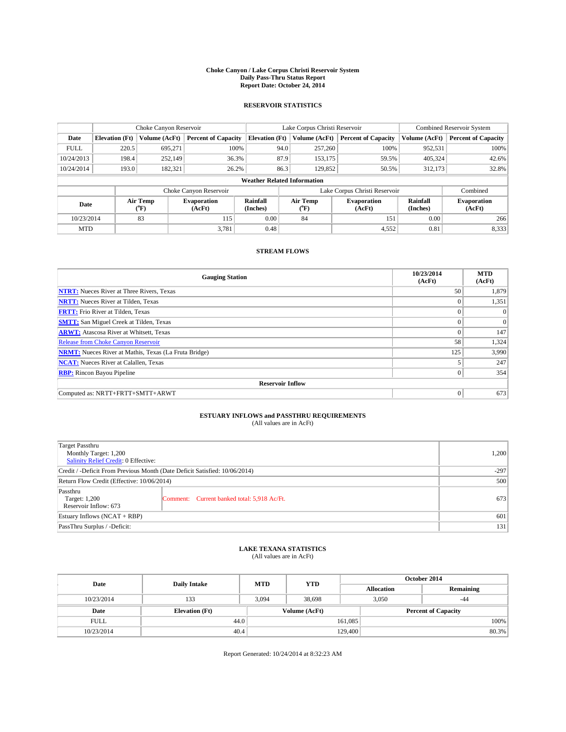#### **Choke Canyon / Lake Corpus Christi Reservoir System Daily Pass-Thru Status Report Report Date: October 24, 2014**

### **RESERVOIR STATISTICS**

|             |                                    | Choke Canyon Reservoir |                              |                       | Lake Corpus Christi Reservoir | <b>Combined Reservoir System</b> |                      |                              |  |
|-------------|------------------------------------|------------------------|------------------------------|-----------------------|-------------------------------|----------------------------------|----------------------|------------------------------|--|
| Date        | <b>Elevation</b> (Ft)              | Volume (AcFt)          | <b>Percent of Capacity</b>   | <b>Elevation (Ft)</b> | Volume (AcFt)                 | <b>Percent of Capacity</b>       | Volume (AcFt)        | <b>Percent of Capacity</b>   |  |
| <b>FULL</b> | 220.5                              | 695,271                | 100%                         | 94.0                  | 257,260                       | 100%                             | 952,531              | 100%                         |  |
| 10/24/2013  | 198.4                              | 252,149                | 36.3%                        | 87.9                  | 153,175                       | 59.5%                            | 405,324              | 42.6%                        |  |
| 10/24/2014  | 193.0                              | 182,321                | 26.2%                        | 86.3                  | 129,852                       | 50.5%                            | 312,173              | 32.8%                        |  |
|             | <b>Weather Related Information</b> |                        |                              |                       |                               |                                  |                      |                              |  |
|             |                                    |                        | Choke Canyon Reservoir       |                       | Lake Corpus Christi Reservoir |                                  | Combined             |                              |  |
| Date        |                                    | Air Temp<br>(°F)       | <b>Evaporation</b><br>(AcFt) | Rainfall<br>(Inches)  | Air Temp<br>(°F)              | <b>Evaporation</b><br>(AcFt)     | Rainfall<br>(Inches) | <b>Evaporation</b><br>(AcFt) |  |
| 10/23/2014  |                                    | 83                     | 115                          | 0.00                  | 84                            | 151                              | 0.00                 | 266                          |  |
| <b>MTD</b>  |                                    |                        | 3.781                        | 0.48                  |                               | 4,552                            | 0.81                 | 8,333                        |  |

### **STREAM FLOWS**

| <b>Gauging Station</b>                                       | 10/23/2014<br>(AcFt) | <b>MTD</b><br>(AcFt) |  |  |  |  |
|--------------------------------------------------------------|----------------------|----------------------|--|--|--|--|
| <b>NTRT:</b> Nueces River at Three Rivers, Texas             | 50                   | 1,879                |  |  |  |  |
| <b>NRTT:</b> Nueces River at Tilden, Texas                   | $\theta$             | 1,351                |  |  |  |  |
| <b>FRTT:</b> Frio River at Tilden, Texas                     |                      | $\Omega$             |  |  |  |  |
| <b>SMTT:</b> San Miguel Creek at Tilden, Texas               | $\theta$             | $\Omega$             |  |  |  |  |
| <b>ARWT:</b> Atascosa River at Whitsett, Texas               | $\Omega$             | 147                  |  |  |  |  |
| <b>Release from Choke Canyon Reservoir</b>                   | 58                   | 1,324                |  |  |  |  |
| <b>NRMT:</b> Nueces River at Mathis, Texas (La Fruta Bridge) | 125                  | 3,990                |  |  |  |  |
| <b>NCAT:</b> Nueces River at Calallen, Texas                 |                      | 247                  |  |  |  |  |
| <b>RBP:</b> Rincon Bayou Pipeline                            | $\theta$             | 354                  |  |  |  |  |
| <b>Reservoir Inflow</b>                                      |                      |                      |  |  |  |  |
| Computed as: NRTT+FRTT+SMTT+ARWT                             | $\Omega$             | 673                  |  |  |  |  |

# **ESTUARY INFLOWS and PASSTHRU REQUIREMENTS**<br>(All values are in AcFt)

| Target Passthru<br>Monthly Target: 1,200<br>Salinity Relief Credit: 0 Effective: |                                             |     |  |  |
|----------------------------------------------------------------------------------|---------------------------------------------|-----|--|--|
| Credit / -Deficit From Previous Month (Date Deficit Satisfied: 10/06/2014)       |                                             |     |  |  |
| Return Flow Credit (Effective: 10/06/2014)                                       | 500                                         |     |  |  |
| Passthru<br>Target: 1,200<br>Reservoir Inflow: 673                               | Comment: Current banked total: 5,918 Ac/Ft. | 673 |  |  |
| Estuary Inflows (NCAT + RBP)                                                     |                                             |     |  |  |
| PassThru Surplus / -Deficit:                                                     | 131                                         |     |  |  |

## **LAKE TEXANA STATISTICS** (All values are in AcFt)

| Date        | <b>Daily Intake</b>   | <b>MTD</b> | <b>YTD</b>    | October 2014      |                            |           |  |
|-------------|-----------------------|------------|---------------|-------------------|----------------------------|-----------|--|
|             |                       |            |               | <b>Allocation</b> |                            | Remaining |  |
| 10/23/2014  | 133                   | 3,094      | 38,698        |                   | 3,050<br>$-44$             |           |  |
| Date        | <b>Elevation</b> (Ft) |            | Volume (AcFt) |                   | <b>Percent of Capacity</b> |           |  |
| <b>FULL</b> | 44.0                  |            |               | 161,085           |                            | 100%      |  |
| 10/23/2014  | 40.4                  |            |               | 129,400           |                            | 80.3%     |  |

Report Generated: 10/24/2014 at 8:32:23 AM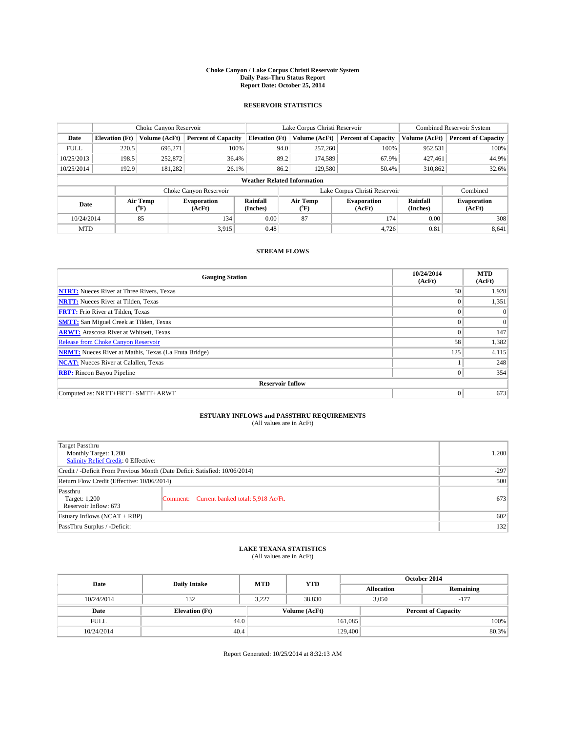#### **Choke Canyon / Lake Corpus Christi Reservoir System Daily Pass-Thru Status Report Report Date: October 25, 2014**

### **RESERVOIR STATISTICS**

|             |                       | Choke Canyon Reservoir |                              |                                    | Lake Corpus Christi Reservoir                    | <b>Combined Reservoir System</b> |                      |                              |
|-------------|-----------------------|------------------------|------------------------------|------------------------------------|--------------------------------------------------|----------------------------------|----------------------|------------------------------|
| Date        | <b>Elevation</b> (Ft) | Volume (AcFt)          | <b>Percent of Capacity</b>   | <b>Elevation (Ft)</b>              | Volume (AcFt)                                    | <b>Percent of Capacity</b>       | Volume (AcFt)        | <b>Percent of Capacity</b>   |
| <b>FULL</b> | 220.5                 | 695,271                | 100%                         |                                    | 94.0<br>257,260                                  | 100%                             | 952,531              | 100%                         |
| 10/25/2013  | 198.5                 | 252,872                | 36.4%                        |                                    | 89.2<br>174,589                                  | 67.9%                            | 427,461              | 44.9%                        |
| 10/25/2014  | 192.9                 | 181,282                | 26.1%                        |                                    | 86.2<br>129,580                                  | 50.4%                            | 310,862              | 32.6%                        |
|             |                       |                        |                              | <b>Weather Related Information</b> |                                                  |                                  |                      |                              |
|             |                       |                        | Choke Canyon Reservoir       |                                    | Lake Corpus Christi Reservoir                    |                                  | Combined             |                              |
| Date        |                       | Air Temp<br>(°F)       | <b>Evaporation</b><br>(AcFt) | Rainfall<br>(Inches)               | Air Temp<br><b>Evaporation</b><br>(AcFt)<br>(°F) |                                  | Rainfall<br>(Inches) | <b>Evaporation</b><br>(AcFt) |
| 10/24/2014  |                       | 85                     | 134                          | 0.00                               | 87                                               | 174                              | 0.00                 | 308                          |
| <b>MTD</b>  |                       |                        | 3.915                        | 0.48                               |                                                  | 4,726                            | 0.81                 | 8,641                        |

### **STREAM FLOWS**

| <b>Gauging Station</b>                                       | 10/24/2014<br>(AcFt) | <b>MTD</b><br>(AcFt) |  |  |  |  |  |
|--------------------------------------------------------------|----------------------|----------------------|--|--|--|--|--|
| <b>NTRT:</b> Nueces River at Three Rivers, Texas             | 50                   | 1,928                |  |  |  |  |  |
| <b>NRTT:</b> Nueces River at Tilden, Texas                   | $\theta$             | 1,351                |  |  |  |  |  |
| <b>FRTT:</b> Frio River at Tilden, Texas                     |                      | $\Omega$             |  |  |  |  |  |
| <b>SMTT:</b> San Miguel Creek at Tilden, Texas               |                      | $\Omega$             |  |  |  |  |  |
| <b>ARWT:</b> Atascosa River at Whitsett, Texas               | $\theta$             | 147                  |  |  |  |  |  |
| Release from Choke Canyon Reservoir                          | 58                   | 1,382                |  |  |  |  |  |
| <b>NRMT:</b> Nueces River at Mathis, Texas (La Fruta Bridge) | 125                  | 4,115                |  |  |  |  |  |
| <b>NCAT:</b> Nueces River at Calallen, Texas                 |                      | 248                  |  |  |  |  |  |
| <b>RBP:</b> Rincon Bayou Pipeline                            | $\theta$             | 354                  |  |  |  |  |  |
| <b>Reservoir Inflow</b>                                      |                      |                      |  |  |  |  |  |
| Computed as: NRTT+FRTT+SMTT+ARWT                             | $\Omega$             | 673                  |  |  |  |  |  |

# **ESTUARY INFLOWS and PASSTHRU REQUIREMENTS**<br>(All values are in AcFt)

| Target Passthru<br>Monthly Target: 1,200<br>Salinity Relief Credit: 0 Effective: |                                             | 1,200 |
|----------------------------------------------------------------------------------|---------------------------------------------|-------|
| Credit / -Deficit From Previous Month (Date Deficit Satisfied: 10/06/2014)       | $-297$                                      |       |
| Return Flow Credit (Effective: 10/06/2014)                                       | 500                                         |       |
| Passthru<br>Target: 1,200<br>Reservoir Inflow: 673                               | Comment: Current banked total: 5,918 Ac/Ft. | 673   |
| Estuary Inflows (NCAT + RBP)                                                     | 602                                         |       |
| PassThru Surplus / -Deficit:                                                     | 132                                         |       |

## **LAKE TEXANA STATISTICS** (All values are in AcFt)

| Date        | <b>Daily Intake</b>   | <b>MTD</b>    | <b>YTD</b> | October 2014      |                            |           |  |
|-------------|-----------------------|---------------|------------|-------------------|----------------------------|-----------|--|
|             |                       |               |            | <b>Allocation</b> |                            | Remaining |  |
| 10/24/2014  | 132                   | 3,227         | 38,830     |                   | 3,050<br>$-177$            |           |  |
| Date        | <b>Elevation</b> (Ft) | Volume (AcFt) |            |                   | <b>Percent of Capacity</b> |           |  |
| <b>FULL</b> | 44.0                  |               |            | 161,085           |                            | 100%      |  |
| 10/24/2014  | 40.4                  |               |            | 129,400           |                            | 80.3%     |  |

Report Generated: 10/25/2014 at 8:32:13 AM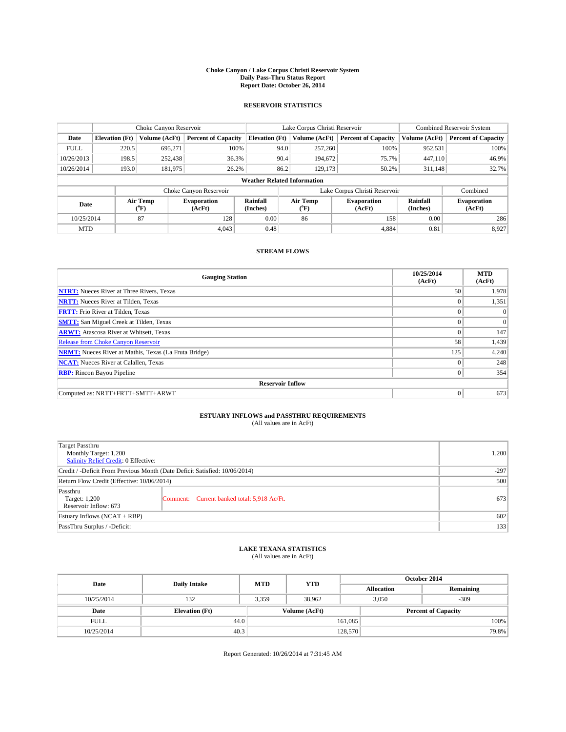#### **Choke Canyon / Lake Corpus Christi Reservoir System Daily Pass-Thru Status Report Report Date: October 26, 2014**

### **RESERVOIR STATISTICS**

|             | Choke Canyon Reservoir |                                                                                              |                            |                                    | Lake Corpus Christi Reservoir |                              |                            |               | Combined Reservoir System  |  |  |
|-------------|------------------------|----------------------------------------------------------------------------------------------|----------------------------|------------------------------------|-------------------------------|------------------------------|----------------------------|---------------|----------------------------|--|--|
| Date        | <b>Elevation</b> (Ft)  | Volume (AcFt)                                                                                | <b>Percent of Capacity</b> | <b>Elevation (Ft)</b>              | Volume (AcFt)                 |                              | <b>Percent of Capacity</b> | Volume (AcFt) | <b>Percent of Capacity</b> |  |  |
| <b>FULL</b> | 220.5                  | 695.271                                                                                      | 100%                       |                                    | 94.0                          | 257,260                      | 100%                       | 952,531       | 100%                       |  |  |
| 10/26/2013  | 198.5                  | 252,438                                                                                      | 36.3%                      |                                    | 90.4                          | 194,672                      | 75.7%                      | 447,110       | 46.9%                      |  |  |
| 10/26/2014  | 193.0                  | 181,975                                                                                      | 26.2%                      |                                    | 86.2                          | 129.173                      | 50.2%                      | 311,148       | 32.7%                      |  |  |
|             |                        |                                                                                              |                            | <b>Weather Related Information</b> |                               |                              |                            |               |                            |  |  |
|             |                        |                                                                                              | Choke Canyon Reservoir     |                                    | Lake Corpus Christi Reservoir |                              |                            |               | Combined                   |  |  |
| Date        |                        | Rainfall<br>Air Temp<br>Air Temp<br><b>Evaporation</b><br>(Inches)<br>(°F)<br>(AcFt)<br>(°F) |                            | <b>Evaporation</b><br>(AcFt)       | Rainfall<br>(Inches)          | <b>Evaporation</b><br>(AcFt) |                            |               |                            |  |  |
| 10/25/2014  |                        | 87                                                                                           | 128                        | 0.00                               | 86                            |                              | 158                        | 0.00          | 286                        |  |  |
| <b>MTD</b>  |                        |                                                                                              | 4.043                      | 0.48                               |                               |                              | 4.884                      | 0.81          | 8,927                      |  |  |

### **STREAM FLOWS**

| <b>Gauging Station</b>                                       | 10/25/2014<br>(AcFt) | <b>MTD</b><br>(AcFt) |  |  |  |  |  |
|--------------------------------------------------------------|----------------------|----------------------|--|--|--|--|--|
| <b>NTRT:</b> Nueces River at Three Rivers, Texas             | 50                   | 1,978                |  |  |  |  |  |
| <b>NRTT:</b> Nueces River at Tilden, Texas                   | $\theta$             | 1,351                |  |  |  |  |  |
| <b>FRTT:</b> Frio River at Tilden, Texas                     |                      | $\Omega$             |  |  |  |  |  |
| <b>SMTT:</b> San Miguel Creek at Tilden, Texas               |                      | $\Omega$             |  |  |  |  |  |
| <b>ARWT:</b> Atascosa River at Whitsett, Texas               | $\Omega$             | 147                  |  |  |  |  |  |
| Release from Choke Canyon Reservoir                          | 58                   | 1,439                |  |  |  |  |  |
| <b>NRMT:</b> Nueces River at Mathis, Texas (La Fruta Bridge) | 125                  | 4,240                |  |  |  |  |  |
| <b>NCAT:</b> Nueces River at Calallen, Texas                 | $\theta$             | 248                  |  |  |  |  |  |
| <b>RBP:</b> Rincon Bayou Pipeline                            | $\mathbf{0}$         | 354                  |  |  |  |  |  |
| <b>Reservoir Inflow</b>                                      |                      |                      |  |  |  |  |  |
| Computed as: NRTT+FRTT+SMTT+ARWT                             | $\Omega$             | 673                  |  |  |  |  |  |

# **ESTUARY INFLOWS and PASSTHRU REQUIREMENTS**<br>(All values are in AcFt)

| Target Passthru<br>Monthly Target: 1,200<br>Salinity Relief Credit: 0 Effective: |                                             | 1,200 |  |
|----------------------------------------------------------------------------------|---------------------------------------------|-------|--|
| Credit / -Deficit From Previous Month (Date Deficit Satisfied: 10/06/2014)       | $-297$                                      |       |  |
| Return Flow Credit (Effective: 10/06/2014)                                       |                                             |       |  |
| Passthru<br>Target: 1,200<br>Reservoir Inflow: 673                               | Comment: Current banked total: 5,918 Ac/Ft. | 673   |  |
| Estuary Inflows $(NCAT + RBP)$                                                   |                                             |       |  |
| PassThru Surplus / -Deficit:                                                     | 133                                         |       |  |

## **LAKE TEXANA STATISTICS** (All values are in AcFt)

| Date        | <b>Daily Intake</b>   | <b>MTD</b>    | <b>YTD</b> | October 2014      |                            |           |  |
|-------------|-----------------------|---------------|------------|-------------------|----------------------------|-----------|--|
|             |                       |               |            | <b>Allocation</b> |                            | Remaining |  |
| 10/25/2014  | 132                   | 3,359         | 38,962     |                   | $-309$<br>3,050            |           |  |
| Date        | <b>Elevation</b> (Ft) | Volume (AcFt) |            |                   | <b>Percent of Capacity</b> |           |  |
| <b>FULL</b> | 44.0                  |               |            | 161,085           |                            | 100%      |  |
| 10/25/2014  | 40.3                  |               |            | 128,570           |                            | 79.8%     |  |

Report Generated: 10/26/2014 at 7:31:45 AM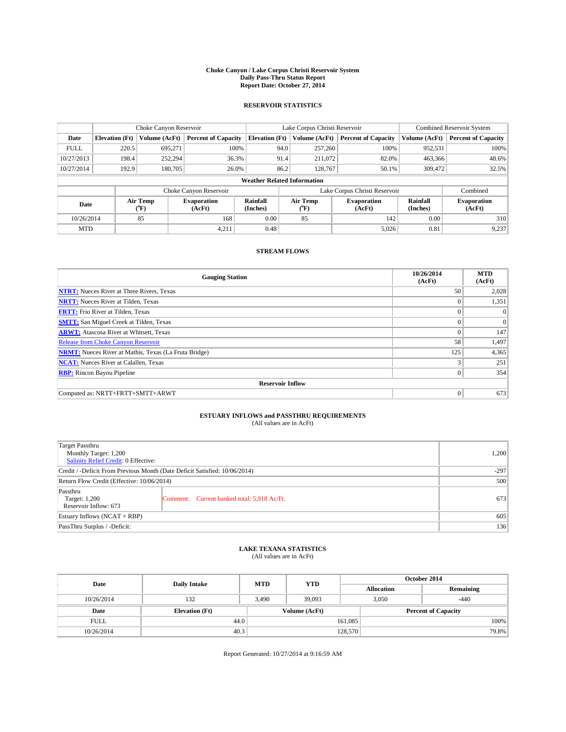#### **Choke Canyon / Lake Corpus Christi Reservoir System Daily Pass-Thru Status Report Report Date: October 27, 2014**

### **RESERVOIR STATISTICS**

|             |                                                                                              | Choke Canyon Reservoir |                              |                                    | Lake Corpus Christi Reservoir | <b>Combined Reservoir System</b> |               |                            |
|-------------|----------------------------------------------------------------------------------------------|------------------------|------------------------------|------------------------------------|-------------------------------|----------------------------------|---------------|----------------------------|
| Date        | <b>Elevation</b> (Ft)                                                                        | Volume (AcFt)          | <b>Percent of Capacity</b>   | <b>Elevation (Ft)</b>              | Volume (AcFt)                 | <b>Percent of Capacity</b>       | Volume (AcFt) | <b>Percent of Capacity</b> |
| <b>FULL</b> | 220.5                                                                                        | 695,271                | 100%                         | 94.0                               | 257,260                       | 100%                             | 952,531       | 100%                       |
| 10/27/2013  | 198.4                                                                                        | 252,294                | 36.3%                        | 91.4                               | 211,072                       | 82.0%                            | 463,366       | 48.6%                      |
| 10/27/2014  | 192.9                                                                                        | 180,705                | 26.0%                        | 86.2                               | 128,767                       | 50.1%                            | 309,472       | 32.5%                      |
|             |                                                                                              |                        |                              | <b>Weather Related Information</b> |                               |                                  |               |                            |
|             |                                                                                              |                        | Choke Canyon Reservoir       |                                    | Lake Corpus Christi Reservoir |                                  | Combined      |                            |
| Date        | Air Temp<br>Air Temp<br>Rainfall<br><b>Evaporation</b><br>(Inches)<br>(AcFt)<br>(°F)<br>(°F) |                        | <b>Evaporation</b><br>(AcFt) | Rainfall<br>(Inches)               | <b>Evaporation</b><br>(AcFt)  |                                  |               |                            |
| 10/26/2014  |                                                                                              | 85                     | 168                          | 0.00                               | 85                            | 142                              | 0.00          | 310                        |
| <b>MTD</b>  |                                                                                              |                        | 4,211                        | 0.48                               |                               | 5,026                            | 0.81          | 9,237                      |

### **STREAM FLOWS**

| <b>Gauging Station</b>                                       | 10/26/2014<br>(AcFt) | <b>MTD</b><br>(AcFt) |  |  |  |  |  |
|--------------------------------------------------------------|----------------------|----------------------|--|--|--|--|--|
| <b>NTRT:</b> Nueces River at Three Rivers, Texas             | 50                   | 2,028                |  |  |  |  |  |
| <b>NRTT:</b> Nueces River at Tilden, Texas                   | $\theta$             | 1,351                |  |  |  |  |  |
| <b>FRTT:</b> Frio River at Tilden, Texas                     |                      | $\Omega$             |  |  |  |  |  |
| <b>SMTT:</b> San Miguel Creek at Tilden, Texas               | $\theta$             | $\overline{0}$       |  |  |  |  |  |
| <b>ARWT:</b> Atascosa River at Whitsett, Texas               | $\Omega$             | 147                  |  |  |  |  |  |
| <b>Release from Choke Canyon Reservoir</b>                   | 58                   | 1,497                |  |  |  |  |  |
| <b>NRMT:</b> Nueces River at Mathis, Texas (La Fruta Bridge) | 125                  | 4,365                |  |  |  |  |  |
| <b>NCAT:</b> Nueces River at Calallen, Texas                 | 3                    | 251                  |  |  |  |  |  |
| <b>RBP:</b> Rincon Bayou Pipeline                            | $\theta$             | 354                  |  |  |  |  |  |
| <b>Reservoir Inflow</b>                                      |                      |                      |  |  |  |  |  |
| Computed as: NRTT+FRTT+SMTT+ARWT                             | $\Omega$             | 673                  |  |  |  |  |  |

# **ESTUARY INFLOWS and PASSTHRU REQUIREMENTS**<br>(All values are in AcFt)

| <b>Target Passthru</b><br>Monthly Target: 1,200<br>Salinity Relief Credit: 0 Effective: |                                             | 1,200 |
|-----------------------------------------------------------------------------------------|---------------------------------------------|-------|
| Credit / -Deficit From Previous Month (Date Deficit Satisfied: 10/06/2014)              | $-297$                                      |       |
| Return Flow Credit (Effective: 10/06/2014)                                              | 500                                         |       |
| Passthru<br>Target: 1,200<br>Reservoir Inflow: 673                                      | Comment: Current banked total: 5,918 Ac/Ft. | 673   |
| Estuary Inflows (NCAT + RBP)                                                            | 605                                         |       |
| PassThru Surplus / -Deficit:                                                            | 136                                         |       |

# **LAKE TEXANA STATISTICS** (All values are in AcFt)

| Date        | <b>Daily Intake</b>   | <b>MTD</b>    | <b>YTD</b> | October 2014      |                            |           |  |
|-------------|-----------------------|---------------|------------|-------------------|----------------------------|-----------|--|
|             |                       |               |            | <b>Allocation</b> |                            | Remaining |  |
| 10/26/2014  | 132                   | 3,490         | 39,093     |                   | 3,050<br>$-440$            |           |  |
| Date        | <b>Elevation</b> (Ft) | Volume (AcFt) |            |                   | <b>Percent of Capacity</b> |           |  |
| <b>FULL</b> | 44.0                  |               |            | 161,085           |                            | 100%      |  |
| 10/26/2014  | 40.3                  |               |            | 128,570           |                            | 79.8%     |  |

Report Generated: 10/27/2014 at 9:16:59 AM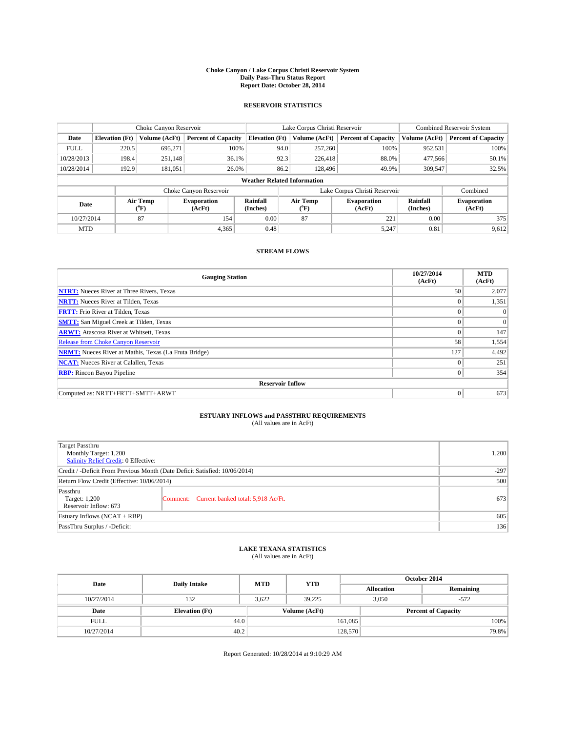#### **Choke Canyon / Lake Corpus Christi Reservoir System Daily Pass-Thru Status Report Report Date: October 28, 2014**

### **RESERVOIR STATISTICS**

|                                                                                  |                                    | Choke Canyon Reservoir |                              |                       | Lake Corpus Christi Reservoir | Combined Reservoir System  |               |                            |  |
|----------------------------------------------------------------------------------|------------------------------------|------------------------|------------------------------|-----------------------|-------------------------------|----------------------------|---------------|----------------------------|--|
| Date                                                                             | <b>Elevation</b> (Ft)              | Volume (AcFt)          | <b>Percent of Capacity</b>   | <b>Elevation (Ft)</b> | Volume (AcFt)                 | <b>Percent of Capacity</b> | Volume (AcFt) | <b>Percent of Capacity</b> |  |
| <b>FULL</b>                                                                      | 220.5                              | 695.271                | 100%                         | 94.0                  | 257,260                       | 100%                       | 952,531       | 100%                       |  |
| 10/28/2013                                                                       | 198.4                              | 251,148                | 36.1%                        | 92.3                  | 226,418                       | 88.0%                      | 477,566       | 50.1%                      |  |
| 10/28/2014                                                                       | 192.9                              | 181,051                | 26.0%                        | 86.2                  | 128,496                       | 49.9%                      | 309,547       | 32.5%                      |  |
|                                                                                  | <b>Weather Related Information</b> |                        |                              |                       |                               |                            |               |                            |  |
|                                                                                  |                                    |                        | Choke Canyon Reservoir       |                       | Lake Corpus Christi Reservoir |                            |               |                            |  |
| Rainfall<br>Air Temp<br><b>Evaporation</b><br>Date<br>(Inches)<br>(°F)<br>(AcFt) |                                    | Air Temp<br>(°F)       | <b>Evaporation</b><br>(AcFt) | Rainfall<br>(Inches)  | <b>Evaporation</b><br>(AcFt)  |                            |               |                            |  |
| 10/27/2014                                                                       |                                    | 87                     | 154                          | 0.00                  | 87                            | 221                        | 0.00          | 375                        |  |
| <b>MTD</b>                                                                       |                                    |                        | 4,365                        | 0.48                  |                               | 5,247                      | 0.81          | 9,612                      |  |

### **STREAM FLOWS**

| <b>Gauging Station</b>                                       | 10/27/2014<br>(AcFt) | <b>MTD</b><br>(AcFt) |  |  |  |  |  |
|--------------------------------------------------------------|----------------------|----------------------|--|--|--|--|--|
| <b>NTRT:</b> Nueces River at Three Rivers, Texas             | 50                   | 2,077                |  |  |  |  |  |
| <b>NRTT:</b> Nueces River at Tilden, Texas                   | $\theta$             | 1,351                |  |  |  |  |  |
| <b>FRTT:</b> Frio River at Tilden, Texas                     |                      | $\Omega$             |  |  |  |  |  |
| <b>SMTT:</b> San Miguel Creek at Tilden, Texas               | $\theta$             | $\Omega$             |  |  |  |  |  |
| <b>ARWT:</b> Atascosa River at Whitsett, Texas               | $\Omega$             | 147                  |  |  |  |  |  |
| <b>Release from Choke Canyon Reservoir</b>                   | 58                   | 1,554                |  |  |  |  |  |
| <b>NRMT:</b> Nueces River at Mathis, Texas (La Fruta Bridge) | 127                  | 4,492                |  |  |  |  |  |
| <b>NCAT:</b> Nueces River at Calallen, Texas                 | $\theta$             | 251                  |  |  |  |  |  |
| <b>RBP:</b> Rincon Bayou Pipeline                            | $\Omega$             | 354                  |  |  |  |  |  |
| <b>Reservoir Inflow</b>                                      |                      |                      |  |  |  |  |  |
| Computed as: NRTT+FRTT+SMTT+ARWT                             | $\Omega$             | 673                  |  |  |  |  |  |

# **ESTUARY INFLOWS and PASSTHRU REQUIREMENTS**<br>(All values are in AcFt)

| Target Passthru<br>Monthly Target: 1,200<br>Salinity Relief Credit: 0 Effective: | 1,200                                       |     |  |  |
|----------------------------------------------------------------------------------|---------------------------------------------|-----|--|--|
| Credit / -Deficit From Previous Month (Date Deficit Satisfied: 10/06/2014)       |                                             |     |  |  |
| Return Flow Credit (Effective: 10/06/2014)                                       |                                             |     |  |  |
| Passthru<br>Target: 1,200<br>Reservoir Inflow: 673                               | Comment: Current banked total: 5,918 Ac/Ft. | 673 |  |  |
| Estuary Inflows $(NCAT + RBP)$                                                   |                                             |     |  |  |
| PassThru Surplus / -Deficit:                                                     | 136                                         |     |  |  |

## **LAKE TEXANA STATISTICS** (All values are in AcFt)

| Date        | <b>Daily Intake</b>   | <b>MTD</b> | <b>YTD</b>    | October 2014      |                            |           |  |
|-------------|-----------------------|------------|---------------|-------------------|----------------------------|-----------|--|
|             |                       |            |               | <b>Allocation</b> |                            | Remaining |  |
| 10/27/2014  | 132                   | 3,622      | 39.225        |                   | 3,050<br>$-572$            |           |  |
| Date        | <b>Elevation</b> (Ft) |            | Volume (AcFt) |                   | <b>Percent of Capacity</b> |           |  |
| <b>FULL</b> | 44.0                  |            |               | 161,085           |                            | 100%      |  |
| 10/27/2014  | 40.2                  |            |               | 128,570           |                            | 79.8%     |  |

Report Generated: 10/28/2014 at 9:10:29 AM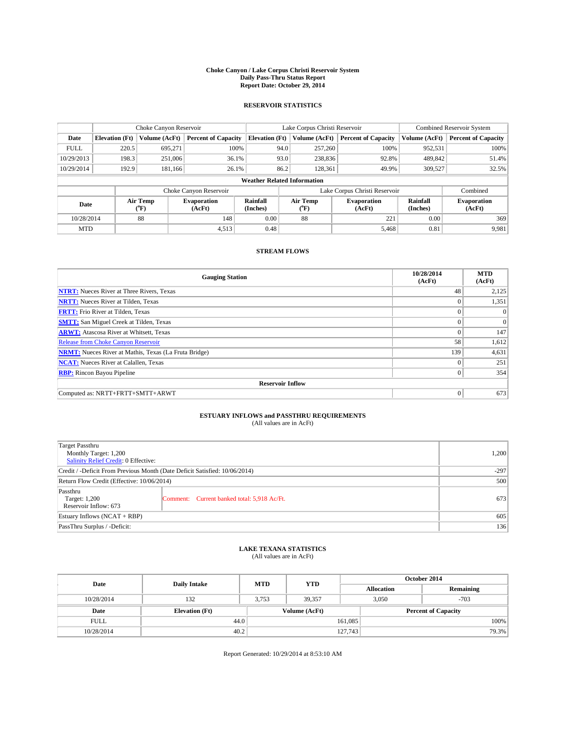#### **Choke Canyon / Lake Corpus Christi Reservoir System Daily Pass-Thru Status Report Report Date: October 29, 2014**

### **RESERVOIR STATISTICS**

|             |                                    | Choke Canyon Reservoir |                              |                       | Lake Corpus Christi Reservoir | <b>Combined Reservoir System</b> |               |                              |  |
|-------------|------------------------------------|------------------------|------------------------------|-----------------------|-------------------------------|----------------------------------|---------------|------------------------------|--|
| Date        | <b>Elevation</b> (Ft)              | Volume (AcFt)          | <b>Percent of Capacity</b>   | <b>Elevation (Ft)</b> | Volume (AcFt)                 | <b>Percent of Capacity</b>       | Volume (AcFt) | <b>Percent of Capacity</b>   |  |
| <b>FULL</b> | 220.5                              | 695,271                | 100%                         | 94.0                  | 257,260                       | 100%                             | 952,531       | 100%                         |  |
| 10/29/2013  | 198.3                              | 251,006                | 36.1%                        | 93.0                  | 238,836                       | 92.8%                            | 489,842       | 51.4%                        |  |
| 10/29/2014  | 192.9                              | 181.166                | 26.1%                        | 86.2                  | 128,361                       | 49.9%                            | 309.527       | 32.5%                        |  |
|             | <b>Weather Related Information</b> |                        |                              |                       |                               |                                  |               |                              |  |
|             |                                    |                        | Choke Canyon Reservoir       |                       | Lake Corpus Christi Reservoir |                                  |               | Combined                     |  |
| Date        |                                    | Air Temp<br>(°F)       | <b>Evaporation</b><br>(AcFt) | Rainfall<br>(Inches)  | Air Temp<br>(°F)              | <b>Evaporation</b><br>(AcFt)     |               | <b>Evaporation</b><br>(AcFt) |  |
| 10/28/2014  |                                    | 88                     | 148                          | 0.00                  | 88                            | 221                              | 0.00          | 369                          |  |
| <b>MTD</b>  |                                    |                        | 4,513                        | 0.48                  |                               | 5,468                            | 0.81          | 9,981                        |  |

### **STREAM FLOWS**

| <b>Gauging Station</b>                                       | 10/28/2014<br>(AcFt) | <b>MTD</b><br>(AcFt) |  |  |  |  |  |
|--------------------------------------------------------------|----------------------|----------------------|--|--|--|--|--|
| <b>NTRT:</b> Nueces River at Three Rivers, Texas             | 48                   | 2,125                |  |  |  |  |  |
| <b>NRTT:</b> Nueces River at Tilden, Texas                   | $\theta$             | 1,351                |  |  |  |  |  |
| <b>FRTT:</b> Frio River at Tilden, Texas                     |                      | $\Omega$             |  |  |  |  |  |
| <b>SMTT:</b> San Miguel Creek at Tilden, Texas               |                      | $\Omega$             |  |  |  |  |  |
| <b>ARWT:</b> Atascosa River at Whitsett, Texas               | $\theta$             | 147                  |  |  |  |  |  |
| Release from Choke Canyon Reservoir                          | 58                   | 1,612                |  |  |  |  |  |
| <b>NRMT:</b> Nueces River at Mathis, Texas (La Fruta Bridge) | 139                  | 4,631                |  |  |  |  |  |
| <b>NCAT:</b> Nueces River at Calallen, Texas                 | $\theta$             | 251                  |  |  |  |  |  |
| <b>RBP:</b> Rincon Bayou Pipeline                            | $\mathbf{0}$         | 354                  |  |  |  |  |  |
| <b>Reservoir Inflow</b>                                      |                      |                      |  |  |  |  |  |
| Computed as: NRTT+FRTT+SMTT+ARWT                             | $\Omega$             | 673                  |  |  |  |  |  |

# **ESTUARY INFLOWS and PASSTHRU REQUIREMENTS**<br>(All values are in AcFt)

| Target Passthru<br>Monthly Target: 1,200<br>Salinity Relief Credit: 0 Effective: | 1,200                                       |     |  |  |
|----------------------------------------------------------------------------------|---------------------------------------------|-----|--|--|
| Credit / -Deficit From Previous Month (Date Deficit Satisfied: 10/06/2014)       |                                             |     |  |  |
| Return Flow Credit (Effective: 10/06/2014)                                       |                                             |     |  |  |
| Passthru<br>Target: 1,200<br>Reservoir Inflow: 673                               | Comment: Current banked total: 5,918 Ac/Ft. | 673 |  |  |
| Estuary Inflows $(NCAT + RBP)$                                                   |                                             |     |  |  |
| PassThru Surplus / -Deficit:                                                     | 136                                         |     |  |  |

## **LAKE TEXANA STATISTICS** (All values are in AcFt)

| Date        | <b>Daily Intake</b>   | <b>MTD</b> | <b>YTD</b>    | October 2014      |                            |           |  |
|-------------|-----------------------|------------|---------------|-------------------|----------------------------|-----------|--|
|             |                       |            |               | <b>Allocation</b> |                            | Remaining |  |
| 10/28/2014  | 132                   | 3.753      | 39.357        |                   | $-703$<br>3.050            |           |  |
| Date        | <b>Elevation</b> (Ft) |            | Volume (AcFt) |                   | <b>Percent of Capacity</b> |           |  |
| <b>FULL</b> | 44.0                  |            |               | 161,085           |                            | 100%      |  |
| 10/28/2014  | 40.2                  |            |               | 127,743           |                            | 79.3%     |  |

Report Generated: 10/29/2014 at 8:53:10 AM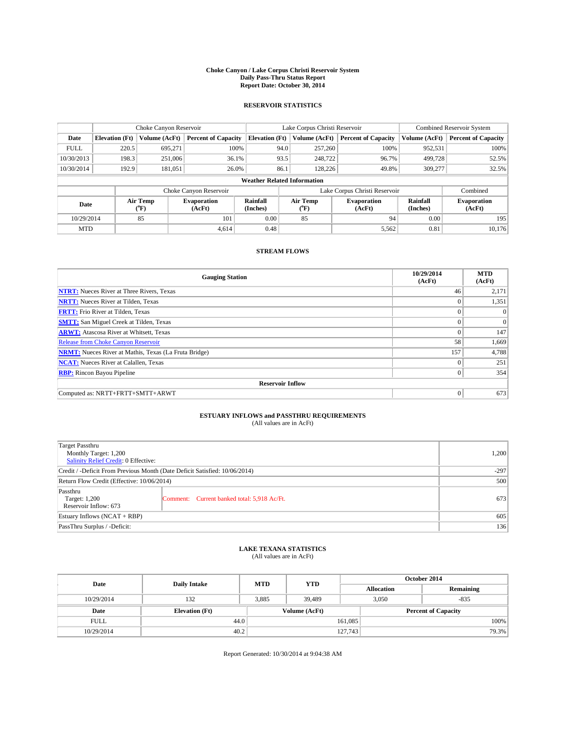#### **Choke Canyon / Lake Corpus Christi Reservoir System Daily Pass-Thru Status Report Report Date: October 30, 2014**

### **RESERVOIR STATISTICS**

|                                                          |                                    | Choke Canyon Reservoir |                            |                              | Lake Corpus Christi Reservoir | <b>Combined Reservoir System</b> |               |                            |  |
|----------------------------------------------------------|------------------------------------|------------------------|----------------------------|------------------------------|-------------------------------|----------------------------------|---------------|----------------------------|--|
| Date                                                     | <b>Elevation</b> (Ft)              | Volume (AcFt)          | <b>Percent of Capacity</b> | <b>Elevation (Ft)</b>        | Volume (AcFt)                 | <b>Percent of Capacity</b>       | Volume (AcFt) | <b>Percent of Capacity</b> |  |
| <b>FULL</b>                                              | 220.5                              | 695.271                | 100%                       | 94.0                         | 257,260                       | 100%                             | 952,531       | 100%                       |  |
| 10/30/2013                                               | 198.3                              | 251,006                | 36.1%                      | 93.5                         | 248,722                       | 96.7%                            | 499,728       | 52.5%                      |  |
| 10/30/2014                                               | 192.9                              | 181,051                | 26.0%                      | 86.1                         | 128,226                       | 49.8%                            | 309,277       | 32.5%                      |  |
|                                                          | <b>Weather Related Information</b> |                        |                            |                              |                               |                                  |               |                            |  |
|                                                          |                                    |                        | Choke Canyon Reservoir     |                              | Lake Corpus Christi Reservoir |                                  |               |                            |  |
| Air Temp<br><b>Evaporation</b><br>Date<br>(°F)<br>(AcFt) |                                    | Rainfall<br>(Inches)   | Air Temp<br>(°F)           | <b>Evaporation</b><br>(AcFt) | Rainfall<br>(Inches)          | <b>Evaporation</b><br>(AcFt)     |               |                            |  |
| 10/29/2014                                               |                                    | 85                     | 101                        | 0.00                         | 85                            | 94                               | 0.00          | 195                        |  |
| <b>MTD</b>                                               |                                    |                        | 4.614                      | 0.48                         |                               | 5,562                            | 0.81          | 10.176                     |  |

### **STREAM FLOWS**

| <b>Gauging Station</b>                                       | 10/29/2014<br>(AcFt) | <b>MTD</b><br>(AcFt) |  |  |  |  |  |
|--------------------------------------------------------------|----------------------|----------------------|--|--|--|--|--|
| <b>NTRT:</b> Nueces River at Three Rivers, Texas             | 46                   | 2,171                |  |  |  |  |  |
| <b>NRTT:</b> Nueces River at Tilden, Texas                   | $\theta$             | 1,351                |  |  |  |  |  |
| <b>FRTT:</b> Frio River at Tilden, Texas                     |                      | $\Omega$             |  |  |  |  |  |
| <b>SMTT:</b> San Miguel Creek at Tilden, Texas               | $\theta$             | $\Omega$             |  |  |  |  |  |
| <b>ARWT:</b> Atascosa River at Whitsett, Texas               | $\Omega$             | 147                  |  |  |  |  |  |
| <b>Release from Choke Canyon Reservoir</b>                   | 58                   | 1,669                |  |  |  |  |  |
| <b>NRMT:</b> Nueces River at Mathis, Texas (La Fruta Bridge) | 157                  | 4,788                |  |  |  |  |  |
| <b>NCAT:</b> Nueces River at Calallen, Texas                 | $\theta$             | 251                  |  |  |  |  |  |
| <b>RBP:</b> Rincon Bayou Pipeline                            | $\Omega$             | 354                  |  |  |  |  |  |
| <b>Reservoir Inflow</b>                                      |                      |                      |  |  |  |  |  |
| Computed as: NRTT+FRTT+SMTT+ARWT                             | $\Omega$             | 673                  |  |  |  |  |  |

# **ESTUARY INFLOWS and PASSTHRU REQUIREMENTS**<br>(All values are in AcFt)

| Target Passthru<br>Monthly Target: 1,200<br>Salinity Relief Credit: 0 Effective: | 1,200                                       |     |
|----------------------------------------------------------------------------------|---------------------------------------------|-----|
| Credit / -Deficit From Previous Month (Date Deficit Satisfied: 10/06/2014)       | $-297$                                      |     |
| Return Flow Credit (Effective: 10/06/2014)                                       | 500                                         |     |
| Passthru<br>Target: 1,200<br>Reservoir Inflow: 673                               | Comment: Current banked total: 5,918 Ac/Ft. | 673 |
| Estuary Inflows (NCAT + RBP)                                                     | 605                                         |     |
| PassThru Surplus / -Deficit:                                                     | 136                                         |     |

## **LAKE TEXANA STATISTICS** (All values are in AcFt)

| Date        | <b>Daily Intake</b>   | <b>MTD</b> | <b>YTD</b>    | October 2014      |                            |           |  |
|-------------|-----------------------|------------|---------------|-------------------|----------------------------|-----------|--|
|             |                       |            |               | <b>Allocation</b> |                            | Remaining |  |
| 10/29/2014  | 132                   | 3,885      | 39,489        |                   | $-835$<br>3,050            |           |  |
| Date        | <b>Elevation</b> (Ft) |            | Volume (AcFt) |                   | <b>Percent of Capacity</b> |           |  |
| <b>FULL</b> | 44.0                  |            |               | 161,085           |                            | 100%      |  |
| 10/29/2014  | 40.2                  |            |               | 127,743           |                            | 79.3%     |  |

Report Generated: 10/30/2014 at 9:04:38 AM